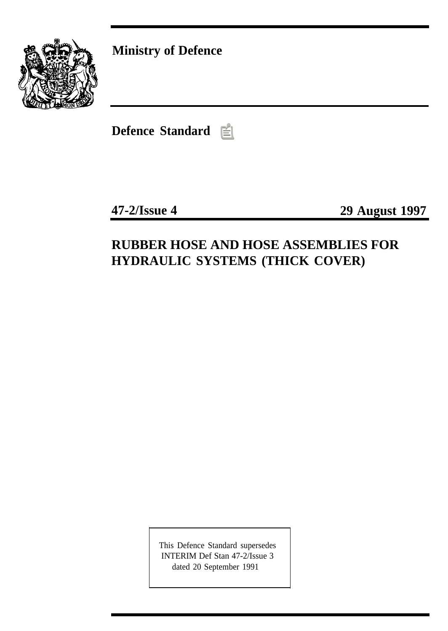

**Ministry of Defence**

**Defence Standard**

**47-2/Issue 4 29 August 1997**

# **RUBBER HOSE AND HOSE ASSEMBLIES FOR HYDRAULIC SYSTEMS (THICK COVER)**

This Defence Standard supersedes INTERIM Def Stan 47-2/Issue 3 dated 20 September 1991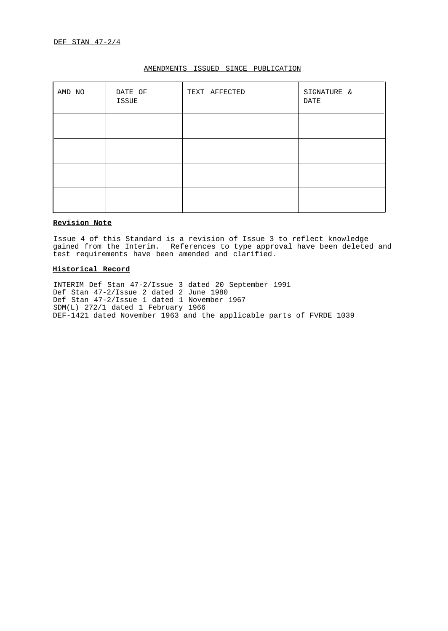| AMD NO | DATE OF<br>ISSUE | TEXT AFFECTED | SIGNATURE &<br>DATE |
|--------|------------------|---------------|---------------------|
|        |                  |               |                     |
|        |                  |               |                     |
|        |                  |               |                     |
|        |                  |               |                     |

## AMENDMENTS ISSUED SINCE PUBLICATION

## **Revision Note**

Issue 4 of this Standard is a revision of Issue 3 to reflect knowledge gained from the Interim. References to type approval have been deleted and test requirements have been amended and clarified.

## **Historical Record**

INTERIM Def Stan 47-2/Issue 3 dated 20 September 1991 Def Stan 47-2/Issue 2 dated 2 June 1980 Def Stan 47-2/Issue 1 dated 1 November 1967 SDM(L) 272/1 dated 1 February 1966 DEF-1421 dated November 1963 and the applicable parts of FVRDE 1039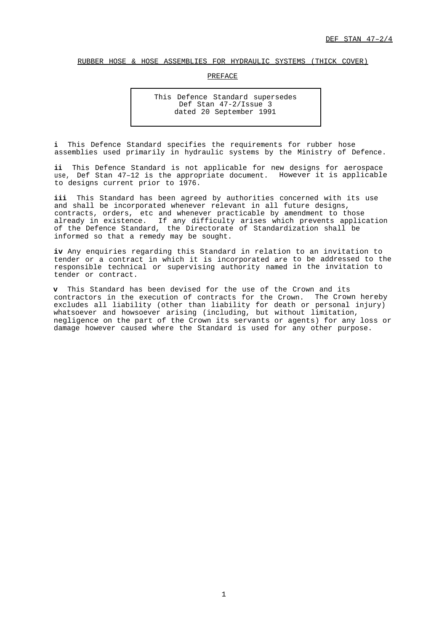## <span id="page-2-0"></span>RUBBER HOSE & HOSE ASSEMBLIES FOR HYDRAULIC SYSTEMS (THICK COVER)

## PREFACE

This Defence Standard supersedes Def Stan 47-2/Issue 3 dated 20 September 1991

**i** This Defence Standard specifies the requirements for rubber hose assemblies used primarily in hydraulic systems by the Ministry of Defence.

**ii** This Defence Standard is not applicable for new designs for aerospace use, Def Stan 47–12 is the appropriate document. However it is applicable to designs current prior to 1976.

iii This Standard has been agreed by authorities concerned with its use and shall be incorporated whenever relevant in all future designs, contracts, orders, etc and whenever practicable by amendment to those already in existence. If any difficulty arises which prevents application of the Defence Standard, the Directorate of Standardization shall be informed so that a remedy may be sought.

**iv** Any enquiries regarding this Standard in relation to an invitation to tender or a contract in which it is incorporated are to be addressed to the responsible technical or supervising authority named in the invitation to tender or contract.

**v** This Standard has been devised for the use of the Crown and its contractors in the execution of contracts for the Crown. The Crown hereby excludes all liability (other than liability for death or personal injury) whatsoever and howsoever arising (including, but without limitation, negligence on the part of the Crown its servants or agents) for any loss or damage however caused where the Standard is used for any other purpose.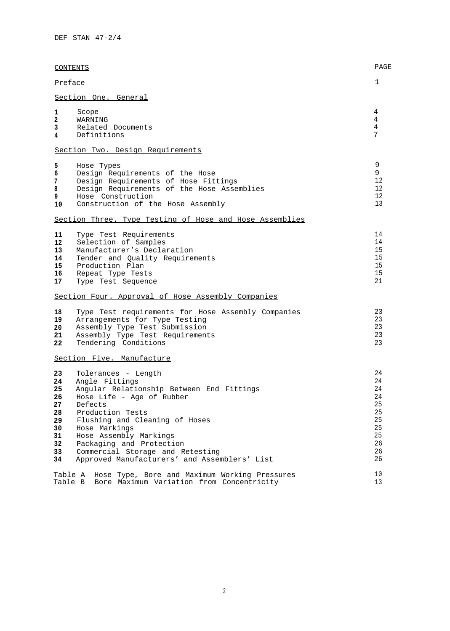| <b>CONTENTS</b>                                                                                                                                                                                                                                                                                                                                                                                                     | PAGE                                                                 |
|---------------------------------------------------------------------------------------------------------------------------------------------------------------------------------------------------------------------------------------------------------------------------------------------------------------------------------------------------------------------------------------------------------------------|----------------------------------------------------------------------|
| Preface                                                                                                                                                                                                                                                                                                                                                                                                             | 1                                                                    |
| Section One. General                                                                                                                                                                                                                                                                                                                                                                                                |                                                                      |
| 1<br>Scope<br>2<br>WARNING<br>3<br>Related Documents<br>Definitions<br>4                                                                                                                                                                                                                                                                                                                                            | 4<br>4<br>4<br>7                                                     |
| Section Two. Design Requirements                                                                                                                                                                                                                                                                                                                                                                                    |                                                                      |
| 5<br>Hose Types<br>6<br>Design Requirements of the Hose<br>Design Requirements of Hose Fittings<br>7<br>Design Requirements of the Hose Assemblies<br>8<br>9<br>Hose Construction<br>Construction of the Hose Assembly<br>10                                                                                                                                                                                        | 9<br>9<br>12<br>12<br>12<br>13                                       |
| Section Three. Type Testing of Hose and Hose Assemblies                                                                                                                                                                                                                                                                                                                                                             |                                                                      |
| 11<br>Type Test Requirements<br>Selection of Samples<br>12<br>13<br>Manufacturer's Declaration<br>Tender and Quality Requirements<br>14<br>15<br>Production Plan<br>16<br>Repeat Type Tests<br>17<br>Type Test Sequence                                                                                                                                                                                             | 14<br>14<br>15<br>15<br>15<br>15<br>21                               |
| Section Four. Approval of Hose Assembly Companies                                                                                                                                                                                                                                                                                                                                                                   |                                                                      |
| Type Test requirements for Hose Assembly Companies<br>18<br>19<br>Arrangements for Type Testing<br>Assembly Type Test Submission<br>20<br>21<br>Assembly Type Test Requirements<br>Tendering Conditions<br>22                                                                                                                                                                                                       | 23<br>23<br>23<br>23<br>23                                           |
| Section Five. Manufacture                                                                                                                                                                                                                                                                                                                                                                                           |                                                                      |
| 23<br>Tolerances - Length<br>Angle Fittings<br>24<br>25<br>Angular Relationship Between End Fittings<br>Hose Life - Age of Rubber<br>26<br>27<br>Defects<br>Production Tests<br>28<br>29<br>Flushing and Cleaning of Hoses<br>Hose Markings<br>30<br>31<br>Hose Assembly Markings<br>Packaging and Protection<br>32<br>33<br>Commercial Storage and Retesting<br>Approved Manufacturers' and Assemblers' List<br>34 | 24<br>24<br>24<br>24<br>25<br>25<br>25<br>25<br>25<br>26<br>26<br>26 |
| Table A Hose Type, Bore and Maximum Working Pressures<br>Bore Maximum Variation from Concentricity<br>Table B                                                                                                                                                                                                                                                                                                       | 10<br>13                                                             |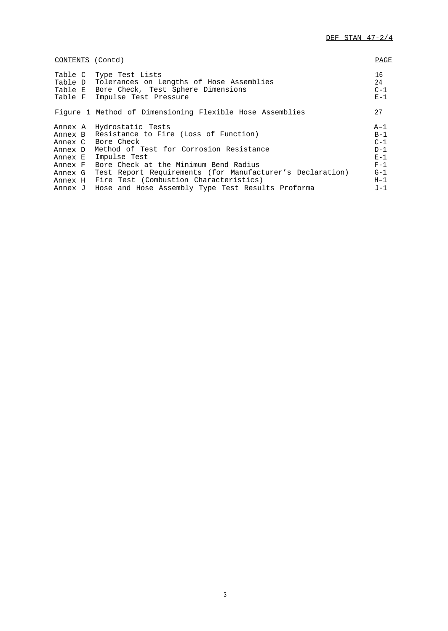| CONTENTS (Contd)                         |                                                                                                                                                                                                                                                                                                                                                                                  | PAGE                                                                            |
|------------------------------------------|----------------------------------------------------------------------------------------------------------------------------------------------------------------------------------------------------------------------------------------------------------------------------------------------------------------------------------------------------------------------------------|---------------------------------------------------------------------------------|
|                                          | Table C Type Test Lists<br>Table D Tolerances on Lengths of Hose Assemblies<br>Table E Bore Check, Test Sphere Dimensions<br>Table F Impulse Test Pressure                                                                                                                                                                                                                       | 16<br>24<br>$C-1$<br>$E-1$                                                      |
|                                          | Figure 1 Method of Dimensioning Flexible Hose Assemblies                                                                                                                                                                                                                                                                                                                         | 27                                                                              |
| Annex D<br>Annex E<br>Annex F<br>Annex G | Annex A Hydrostatic Tests<br>Annex B Resistance to Fire (Loss of Function)<br>Annex C Bore Check<br>Method of Test for Corrosion Resistance<br>Impulse Test<br>Bore Check at the Minimum Bend Radius<br>Test Report Requirements (for Manufacturer's Declaration)<br>Annex H Fire Test (Combustion Characteristics)<br>Annex J Hose and Hose Assembly Type Test Results Proforma | $A-1$<br>$B-1$<br>$C-1$<br>$D-1$<br>$E - 1$<br>$F-1$<br>$G-1$<br>$H-1$<br>$J-1$ |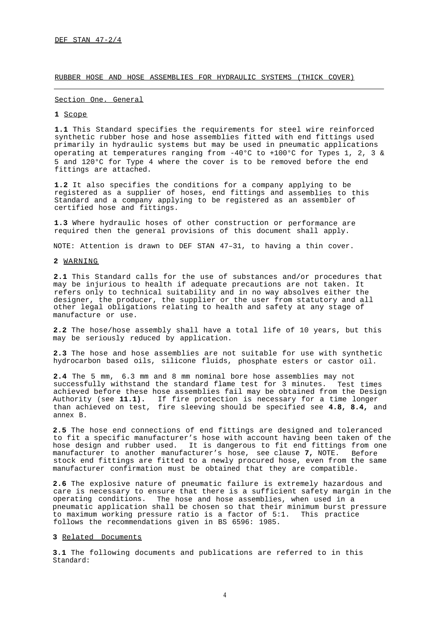RUBBER HOSE AND HOSE ASSEMBLIES FOR HYDRAULIC SYSTEMS (THICK COVER)

### <span id="page-5-0"></span>Section One. General

#### <span id="page-5-1"></span>**1** Scope

**1.1** This Standard specifies the requirements for steel wire reinforced synthetic rubber hose and hose assemblies fitted with end fittings used primarily in hydraulic systems but may be used in pneumatic applications operating at temperatures ranging from -40°C to +100°C for Types 1, 2, 3 & 5 and 120°C for Type 4 where the cover is to be removed before the end fittings are attached.

**1.2** It also specifies the conditions for a company applying to be registered as a supplier of hoses, end fittings and assemblies to this Standard and a company applying to be registered as an assembler of certified hose and fittings.

**1.3** Where hydraulic hoses of other construction or performance are required then the general provisions of this document shall apply.

NOTE: Attention is drawn to DEF STAN 47–31, to having a thin cover.

## <span id="page-5-2"></span>**2** WARNING

**2.1** This Standard calls for the use of substances and/or procedures that may be injurious to health if adequate precautions are not taken. It refers only to technical suitability and in no way absolves either the designer, the producer, the supplier or the user from statutory and all other legal obligations relating to health and safety at any stage of manufacture or use.

<span id="page-5-3"></span>**2.2** The hose/hose assembly shall have a total life of 10 years, but this may be seriously reduced by application.

**2.3** The hose and hose assemblies are not suitable for use with synthetic hydrocarbon based oils, silicone fluids, phosphate esters or castor oil.

**2.4** The 5 mm, 6.3 mm and 8 mm nominal bore hose assemblies may not successfully withstand the standard flame test for 3 minutes. Test times achieved before these hose assemblies fail may be obtained from the Design Authority (see **11.1).** If fire protection is necessary for a time longer than achieved on test, fire sleeving should be specified see **4.8, 8.4,** and annex B.

**2.5** The hose end connections of end fittings are designed and toleranced to fit a specific manufacturer's hose with account having been taken of the hose design and rubber used. It is dangerous to fit end fittings from one manufacturer to another manufacturer's hose, see clause **7,** NOTE. Before stock end fittings are fitted to a newly procured hose, even from the same manufacturer confirmation must be obtained that they are compatible.

**2.6** The explosive nature of pneumatic failure is extremely hazardous and care is necessary to ensure that there is a sufficient safety margin in the operating conditions. The hose and hose assemblies, when used in a pneumatic application shall be chosen so that their minimum burst pressure to maximum working pressure ratio is a factor of 5:1. This practice follows the recommendations given in BS 6596: 1985.

## **3** Related Documents

**3.1** The following documents and publications are referred to in this Standard: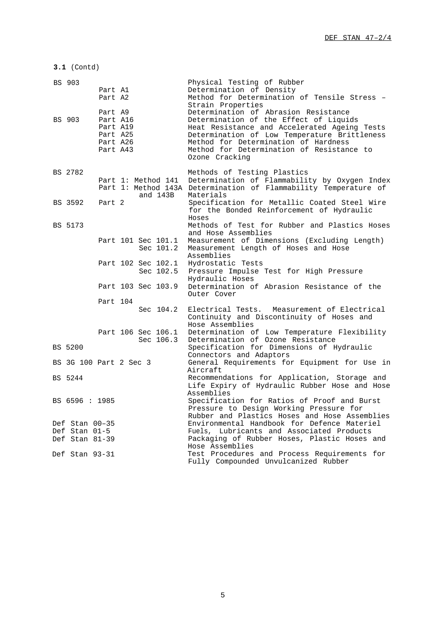| BS 903                 | Part A1<br>Part A2<br>Part A9                            |  |                                 | Physical Testing of Rubber<br>Determination of Density<br>Method for Determination of Tensile Stress -<br>Strain Properties<br>Determination of Abrasion Resistance                                                                           |
|------------------------|----------------------------------------------------------|--|---------------------------------|-----------------------------------------------------------------------------------------------------------------------------------------------------------------------------------------------------------------------------------------------|
| BS 903                 | Part A16<br>Part A19<br>Part A25<br>Part A26<br>Part A43 |  |                                 | Determination of the Effect of Liquids<br>Heat Resistance and Accelerated Ageing Tests<br>Determination of Low Temperature Brittleness<br>Method for Determination of Hardness<br>Method for Determination of Resistance to<br>Ozone Cracking |
| BS 2782                |                                                          |  | Part 1: Method 141              | Methods of Testing Plastics<br>Determination of Flammability by Oxygen Index<br>Part 1: Method 143A Determination of Flammability Temperature of                                                                                              |
| BS 3592                | Part 2                                                   |  | and 143B                        | Materials<br>Specification for Metallic Coated Steel Wire<br>for the Bonded Reinforcement of Hydraulic<br>Hoses                                                                                                                               |
| BS 5173                |                                                          |  |                                 | Methods of Test for Rubber and Plastics Hoses                                                                                                                                                                                                 |
|                        |                                                          |  | Part 101 Sec 101.1<br>Sec 101.2 | and Hose Assemblies<br>Measurement of Dimensions (Excluding Length)<br>Measurement Length of Hoses and Hose<br>Assemblies                                                                                                                     |
|                        |                                                          |  | Part 102 Sec 102.1<br>Sec 102.5 | Hydrostatic Tests<br>Pressure Impulse Test for High Pressure<br>Hydraulic Hoses                                                                                                                                                               |
|                        |                                                          |  | Part 103 Sec 103.9              | Determination of Abrasion Resistance of the<br>Outer Cover                                                                                                                                                                                    |
|                        | Part 104                                                 |  |                                 |                                                                                                                                                                                                                                               |
|                        |                                                          |  | Sec 104.2                       | Electrical Tests. Measurement of Electrical<br>Continuity and Discontinuity of Hoses and<br>Hose Assemblies                                                                                                                                   |
|                        |                                                          |  | Part 106 Sec 106.1<br>Sec 106.3 | Determination of Low Temperature Flexibility<br>Determination of Ozone Resistance                                                                                                                                                             |
| <b>BS 5200</b>         |                                                          |  |                                 | Specification for Dimensions of Hydraulic                                                                                                                                                                                                     |
| BS 3G 100 Part 2 Sec 3 |                                                          |  |                                 | Connectors and Adaptors<br>General Requirements for Equipment for Use in<br>Aircraft                                                                                                                                                          |
| BS 5244                |                                                          |  |                                 | Recommendations for Application, Storage and<br>Life Expiry of Hydraulic Rubber Hose and Hose<br>Assemblies                                                                                                                                   |
| BS 6596 : 1985         |                                                          |  |                                 | Specification for Ratios of Proof and Burst<br>Pressure to Design Working Pressure for                                                                                                                                                        |
| Def Stan 00-35         |                                                          |  |                                 | Rubber and Plastics Hoses and Hose Assemblies<br>Environmental Handbook for Defence Materiel                                                                                                                                                  |
| Def Stan 01-5          |                                                          |  |                                 | Fuels, Lubricants and Associated Products                                                                                                                                                                                                     |
| Def Stan 81-39         |                                                          |  |                                 | Packaging of Rubber Hoses, Plastic Hoses and<br>Hose Assemblies                                                                                                                                                                               |
| Def Stan 93-31         |                                                          |  |                                 | Test Procedures and Process Requirements for<br>Fully Compounded Unvulcanized Rubber                                                                                                                                                          |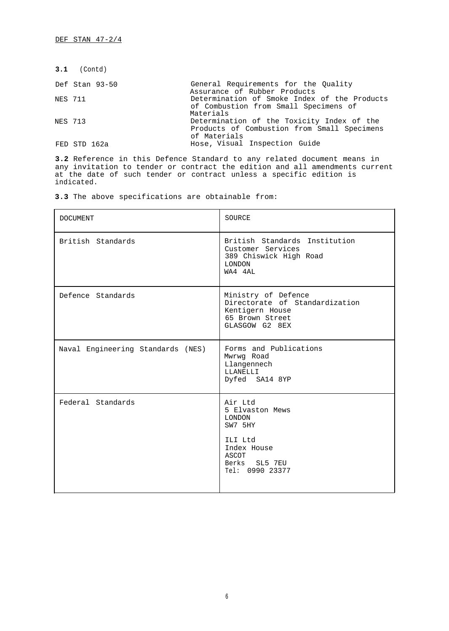|         | $3.1$ (Contd)  |                                                                                                           |
|---------|----------------|-----------------------------------------------------------------------------------------------------------|
|         | Def Stan 93-50 | General Requirements for the Ouality<br>Assurance of Rubber Products                                      |
| NES 711 |                | Determination of Smoke Index of the Products<br>of Combustion from Small Specimens of<br>Materials        |
| NES 713 |                | Determination of the Toxicity Index of the<br>Products of Combustion from Small Specimens<br>of Materials |
|         | FED STD 162a   | Hose, Visual Inspection Guide                                                                             |

**3.2** Reference in this Defence Standard to any related document means in any invitation to tender or contract the edition and all amendments current at the date of such tender or contract unless a specific edition is indicated.

**3.3** The above specifications are obtainable from:

| <b>DOCUMENT</b>                   | SOURCE                                                                                                                 |
|-----------------------------------|------------------------------------------------------------------------------------------------------------------------|
| British Standards                 | British Standards Institution<br>Customer Services<br>389 Chiswick High Road<br>LONDON<br>WA4 4AL                      |
| Defence Standards                 | Ministry of Defence<br>Directorate of Standardization<br>Kentigern House<br>65 Brown Street<br>GLASGOW G2 8EX          |
| Naval Engineering Standards (NES) | Forms and Publications<br>Mwrwg Road<br>Llangennech<br>LLANELLI<br>Dyfed SA14 8YP                                      |
| Federal Standards                 | Air Ltd<br>5 Elvaston Mews<br>LONDON<br>SW7 5HY<br>ILI Ltd<br>Index House<br>ASCOT<br>Berks SL5 7EU<br>Tel: 0990 23377 |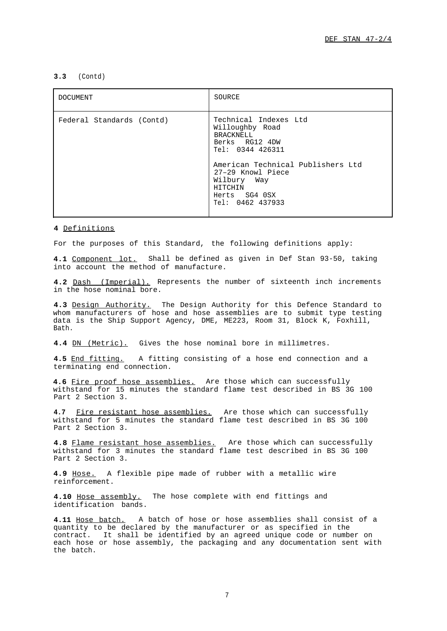## **3.3** (Contd)

| <b>DOCUMENT</b>           | SOURCE                                                                                                                                                                                                                      |
|---------------------------|-----------------------------------------------------------------------------------------------------------------------------------------------------------------------------------------------------------------------------|
| Federal Standards (Contd) | Technical Indexes Ltd<br>Willoughby Road<br><b>BRACKNELL</b><br>Berks RG12 4DW<br>Tel: 0344 426311<br>American Technical Publishers Ltd<br>27-29 Knowl Piece<br>Wilbury Way<br>HITCHIN<br>Herts SG4 OSX<br>Tel: 0462 437933 |

### <span id="page-8-0"></span>**4** Definitions

For the purposes of this Standard, the following definitions apply:

**4.1** Component lot. Shall be defined as given in Def Stan 93-50, taking into account the method of manufacture.

**4.2** Dash (Imperial). Represents the number of sixteenth inch increments in the hose nominal bore.

**4.3** Design Authority. The Design Authority for this Defence Standard to whom manufacturers of hose and hose assemblies are to submit type testing data is the Ship Support Agency, DME, ME223, Room 31, Block K, Foxhill, Bath.

**4.4** DN (Metric). Gives the hose nominal bore in millimetres.

**4.5** End fitting. A fitting consisting of a hose end connection and a terminating end connection.

**4.6** Fire proof hose assemblies. Are those which can successfully withstand for 15 minutes the standard flame test described in BS 3G 100 Part 2 Section 3.

**4.7** Fire resistant hose assemblies. Are those which can successfully withstand for 5 minutes the standard flame test described in BS 3G 100 Part 2 Section 3.

**4.8** Flame resistant hose assemblies. Are those which can successfully withstand for 3 minutes the standard flame test described in BS 3G 100 Part 2 Section 3.

**4.9** Hose. A flexible pipe made of rubber with a metallic wire reinforcement.

**4.10** Hose assembly. The hose complete with end fittings and identification bands.

**4.11** Hose batch. A batch of hose or hose assemblies shall consist of a quantity to be declared by the manufacturer or as specified in the contract. It shall be identified by an agreed unique code or number on each hose or hose assembly, the packaging and any documentation sent with the batch.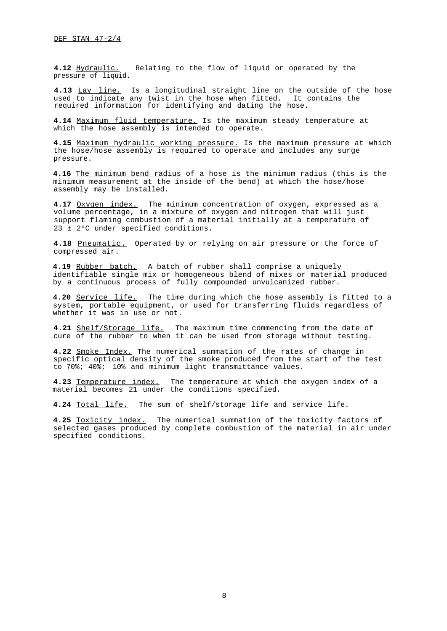**4.12** Hydraulic. Relating to the flow of liquid or operated by the pressure of liquid.

**4.13** Lay line. Is a longitudinal straight line on the outside of the hose used to indicate any twist in the hose when fitted. It contains the required information for identifying and dating the hose.

**4.14** Maximum fluid temperature. Is the maximum steady temperature at which the hose assembly is intended to operate.

**4.15** Maximum hydraulic working pressure. Is the maximum pressure at which the hose/hose assembly is required to operate and includes any surge pressure.

**4.16** The minimum bend radius of a hose is the minimum radius (this is the minimum measurement at the inside of the bend) at which the hose/hose assembly may be installed.

**4.17** Oxygen index. The minimum concentration of oxygen, expressed as a volume percentage, in a mixture of oxygen and nitrogen that will just support flaming combustion of a material initially at a temperature of 23 ± 2°C under specified conditions.

**4.18** Pneumatic. Operated by or relying on air pressure or the force of compressed air.

**4.19** Rubber batch. A batch of rubber shall comprise a uniquely identifiable single mix or homogeneous blend of mixes or material produced by a continuous process of fully compounded unvulcanized rubber.

**4.20** Service life. The time during which the hose assembly is fitted to a system, portable equipment, or used for transferring fluids regardless of whether it was in use or not.

**4.21** Shelf/Storage life. The maximum time commencing from the date of cure of the rubber to when it can be used from storage without testing.

**4.22** Smoke Index. The numerical summation of the rates of change in specific optical density of the smoke produced from the start of the test to 70%; 40%; 10% and minimum light transmittance values.

**4.23** Temperature index. The temperature at which the oxygen index of a material becomes 21 under the conditions specified.

**4.24** Total life. The sum of shelf/storage life and service life.

**4.25** Toxicity index. The numerical summation of the toxicity factors of selected gases produced by complete combustion of the material in air under specified conditions.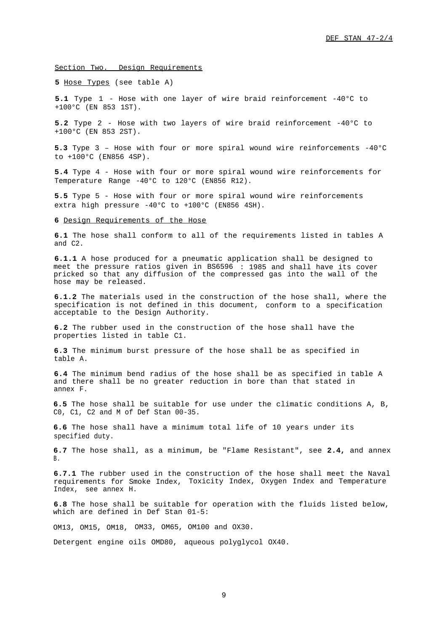<span id="page-10-0"></span>Section Two. Design Requirements

<span id="page-10-1"></span>**5** Hose Types (see table A)

**5.1** Type 1 - Hose with one layer of wire braid reinforcement -40°C to +100°C (EN 853 1ST).

**5.2** Type 2 - Hose with two layers of wire braid reinforcement -40°C to +100°C (EN 853 2ST).

**5.3** Type 3 – Hose with four or more spiral wound wire reinforcements -40°C to +100°C (EN856 4SP).

**5.4** Type 4 - Hose with four or more spiral wound wire reinforcements for Temperature Range -40°C to 120°C (EN856 R12).

**5.5** Type 5 - Hose with four or more spiral wound wire reinforcements extra high pressure -40°C to +100°C (EN856 4SH).

#### <span id="page-10-2"></span>**6** Design Requirements of the Hose

**6.1** The hose shall conform to all of the requirements listed in tables A and C2.

**6.1.1** A hose produced for a pneumatic application shall be designed to meet the pressure ratios given in BS6596 : 1985 and shall have its cover pricked so that any diffusion of the compressed gas into the wall of the hose may be released.

**6.1.2** The materials used in the construction of the hose shall, where the specification is not defined in this document, conform to a specification acceptable to the Design Authority.

**6.2** The rubber used in the construction of the hose shall have the properties listed in table C1.

**6.3** The minimum burst pressure of the hose shall be as specified in table A.

**6.4** The minimum bend radius of the hose shall be as specified in table A and there shall be no greater reduction in bore than that stated in annex F.

**6.5** The hose shall be suitable for use under the climatic conditions A, B, C0, C1, C2 and M of Def Stan 00-35.

**6.6** The hose shall have a minimum total life of 10 years under its specified duty.

**6.7** The hose shall, as a minimum, be "Flame Resistant", see **2.4,** and annex B.

**6.7.1** The rubber used in the construction of the hose shall meet the Naval requirements for Smoke Index, Toxicity Index, Oxygen Index and Temperature Index, see annex H.

**6.8** The hose shall be suitable for operation with the fluids listed below, which are defined in Def Stan 01-5:

OM13, OM15, OM18, OM33, OM65, OM100 and OX30.

Detergent engine oils OMD80, aqueous polyglycol OX40.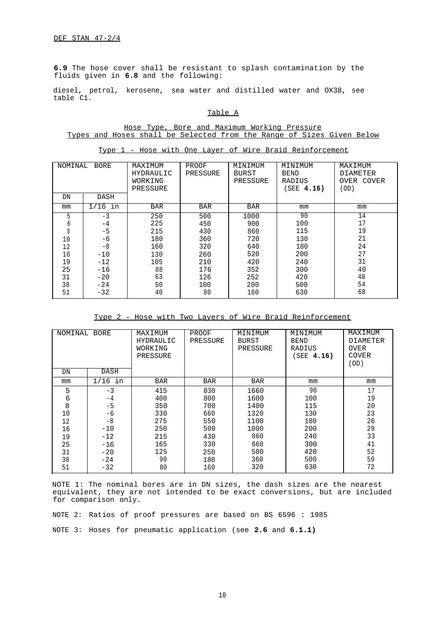**6.9** The hose cover shall be resistant to splash contamination by the fluids given in **6.8** and the following:

<span id="page-11-0"></span>diesel, petrol, kerosene, sea water and distilled water and OX38, see table C1.

### Table A

## Hose Type, Bore and Maximum Working Pressure Types and Hoses shall be Selected from the Range of Sizes Given Below

| NOMINAL<br><b>BORE</b> |            | MAXIMUM    | PROOF      | MINIMUM      | MINIMUM     | MAXIMUM         |
|------------------------|------------|------------|------------|--------------|-------------|-----------------|
|                        |            | HYDRAULIC  | PRESSURE   | <b>BURST</b> | <b>BEND</b> | <b>DIAMETER</b> |
|                        |            | WORKING    |            | PRESSURE     | RADIUS      | OVER COVER      |
|                        |            | PRESSURE   |            |              | SEE 4.16)   | (OD)            |
| DN                     | DASH       |            |            |              |             |                 |
| mm                     | 1/16<br>in | <b>BAR</b> | <b>BAR</b> | <b>BAR</b>   | mm          | mm              |
| 5                      | $-3$       | 250        | 500        | 1000         | 90          | 14              |
| 6                      | -4         | 225        | 450        | 900          | 100         | 17              |
| 8                      | $-5$       | 215        | 430        | 860          | 115         | 19              |
| 10                     | -6         | 180        | 360        | 720          | 130         | 21              |
| 12                     | $-8$       | 160        | 320        | 640          | 180         | 24              |
| 16                     | $-10$      | 130        | 260        | 520          | 200         | 27              |
| 19                     | $-12$      | 105        | 210        | 420          | 240         | 31              |
| 25                     | $-16$      | 88         | 176        | 352          | 300         | 40              |
| 31                     | $-20$      | 63         | 126        | 252          | 420         | 48              |
| 38                     | $-24$      | 50         | 100        | 200          | 500         | 54              |
| 51                     | $-32$      | 40         | 80         | 160          | 630         | 68              |

Type 1 - Hose with One Layer of Wire Braid Reinforcement

Type 2 – Hose with Two Layers of Wire Braid Reinforcement

| NOMINAL BORE |           | MAXIMUM<br>HYDRAULIC<br>WORKING<br>PRESSURE | PROOF<br>PRESSURE | MINIMUM<br><b>BURST</b><br>PRESSURE | MINIMUM<br><b>BEND</b><br>RADIUS<br>SEE 4.16) | MAXIMUM<br><b>DIAMETER</b><br><b>OVER</b><br><b>COVER</b><br>(OD) |
|--------------|-----------|---------------------------------------------|-------------------|-------------------------------------|-----------------------------------------------|-------------------------------------------------------------------|
| DN           | DASH      |                                             |                   |                                     |                                               |                                                                   |
| mm           | $1/16$ in | <b>BAR</b>                                  | <b>BAR</b>        | <b>BAR</b>                          | mm                                            | mm                                                                |
| 5            | $-3$      | 415                                         | 830               | 1660                                | 90                                            | 17                                                                |
| 6            | $-4$      | 400                                         | 800               | 1600                                | 100                                           | 19                                                                |
| 8            | $-5$      | 350                                         | 700               | 1400                                | 115                                           | 20                                                                |
| 10           | -6        | 330                                         | 660               | 1320                                | 130                                           | 23                                                                |
| 12           | $-8$      | 275                                         | 550               | 1100                                | 180                                           | 26                                                                |
| 16           | $-10$     | 250                                         | 500               | 1000                                | 200                                           | 29                                                                |
| 19           | $-12$     | 215                                         | 430               | 860                                 | 240                                           | 33                                                                |
| 25           | $-16$     | 165                                         | 330               | 660                                 | 300                                           | 41                                                                |
| 31           | $-20$     | 125                                         | 250               | 500                                 | 420                                           | 52                                                                |
| 38           | $-24$     | 90                                          | 180               | 360                                 | 500                                           | 59                                                                |
| 51           | $-32$     | 80                                          | 160               | 320                                 | 630                                           | 72                                                                |

NOTE 1: The nominal bores are in DN sizes, the dash sizes are the nearest equivalent, they are not intended to be exact conversions, but are included for comparison only.

NOTE 2: Ratios of proof pressures are based on BS 6596 : 1985 NOTE 3: Hoses for pneumatic application (see **2.6** and **6.1.1)**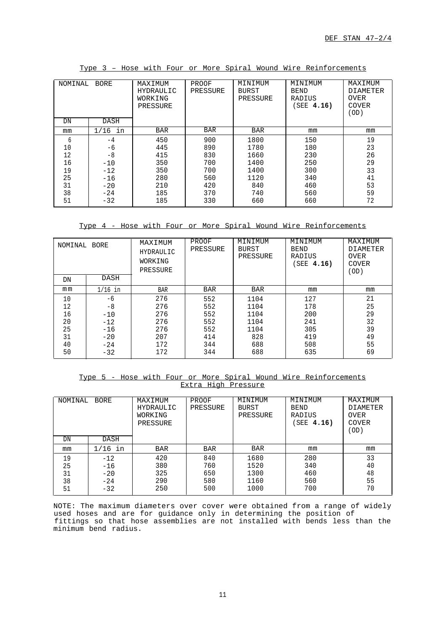| NOMINAL<br><b>BORE</b> |            | MAXIMUM<br><b>HYDRAULIC</b><br>WORKING<br>PRESSURE | PROOF<br>PRESSURE | MINIMUM<br>BURST<br>PRESSURE | MINIMUM<br><b>BEND</b><br>RADIUS<br>SEE 4.16) | MAXIMUM<br><b>DIAMETER</b><br><b>OVER</b><br><b>COVER</b><br>(OD) |
|------------------------|------------|----------------------------------------------------|-------------------|------------------------------|-----------------------------------------------|-------------------------------------------------------------------|
| DN                     | DASH       |                                                    |                   |                              |                                               |                                                                   |
| mm                     | 1/16<br>in | <b>BAR</b>                                         | <b>BAR</b>        | <b>BAR</b>                   | mm                                            | mm                                                                |
| 6                      | $-4$       | 450                                                | 900               | 1800                         | 150                                           | 19                                                                |
| 10                     | -6         | 445                                                | 890               | 1780                         | 180                                           | 23                                                                |
| 12                     | $-8$       | 415                                                | 830               | 1660                         | 230                                           | 26                                                                |
| 16                     | $-10$      | 350                                                | 700               | 1400                         | 250                                           | 29                                                                |
| 19                     | $-12$      | 350                                                | 700               | 1400                         | 300                                           | 33                                                                |
| 25                     | $-16$      | 280                                                | 560               | 1120                         | 340                                           | 41                                                                |
| 31                     | $-20$      | 210                                                | 420               | 840                          | 460                                           | 53                                                                |
| 38                     | $-24$      | 185                                                | 370               | 740                          | 560                                           | 59                                                                |
| 51                     | $-32$      | 185                                                | 330               | 660                          | 660                                           | 72                                                                |

Type 3 – Hose with Four or More Spiral Wound Wire Reinforcements

Type 4 - Hose with Four or More Spiral Wound Wire Reinforcements

| NOMINAL<br>BORE |           | MAXIMUM<br>HYDRAULIC<br>WORKING<br>PRESSURE | PROOF<br>PRESSURE | MINIMUM<br>BURST<br>PRESSURE | MINIMUM<br><b>BEND</b><br>RADIUS<br>SEE 4.16) | MAXIMUM<br><b>DIAMETER</b><br><b>OVER</b><br><b>COVER</b><br>(OD) |
|-----------------|-----------|---------------------------------------------|-------------------|------------------------------|-----------------------------------------------|-------------------------------------------------------------------|
| DN              | DASH      |                                             |                   |                              |                                               |                                                                   |
| mm              | $1/16$ in | <b>BAR</b>                                  | <b>BAR</b>        | <b>BAR</b>                   | mm                                            | mm                                                                |
| 10              | -6        | 276                                         | 552               | 1104                         | 127                                           | 21                                                                |
| 12              | -8        | 276                                         | 552               | 1104                         | 178                                           | 25                                                                |
| 16              | $-10$     | 276                                         | 552               | 1104                         | 200                                           | 29                                                                |
| 20              | $-12$     | 276                                         | 552               | 1104                         | 241                                           | 32                                                                |
| 25              | $-16$     | 276                                         | 552               | 1104                         | 305                                           | 39                                                                |
| 31              | $-20$     | 207                                         | 414               | 828                          | 419                                           | 49                                                                |
| 40              | $-24$     | 172                                         | 344               | 688                          | 508                                           | 55                                                                |
| 50              | $-32$     | 172                                         | 344               | 688                          | 635                                           | 69                                                                |

Type 5 - Hose with Four or More Spiral Wound Wire Reinforcements Extra High Pressure

| NOMINAL                    | <b>BORE</b>                               | MAXIMUM<br><b>HYDRAULIC</b><br>WORKING<br>PRESSURE | PROOF<br>PRESSURE               | MINIMUM<br>BURST<br>PRESSURE         | MINIMUM<br><b>BEND</b><br>RADIUS<br>SEE 4.16) | MAXIMUM<br><b>DIAMETER</b><br><b>OVER</b><br>COVER<br>(OD) |
|----------------------------|-------------------------------------------|----------------------------------------------------|---------------------------------|--------------------------------------|-----------------------------------------------|------------------------------------------------------------|
| DN                         | DASH                                      |                                                    |                                 |                                      |                                               |                                                            |
| mm                         | $1/16$ in                                 | <b>BAR</b>                                         | <b>BAR</b>                      | <b>BAR</b>                           | mm                                            | mm                                                         |
| 19<br>25<br>31<br>38<br>51 | $-12$<br>$-16$<br>$-20$<br>$-24$<br>$-32$ | 420<br>380<br>325<br>290<br>250                    | 840<br>760<br>650<br>580<br>500 | 1680<br>1520<br>1300<br>1160<br>1000 | 280<br>340<br>460<br>560<br>700               | 33<br>40<br>48<br>55<br>70                                 |

NOTE: The maximum diameters over cover were obtained from a range of widely used hoses and are for guidance only in determining the position of fittings so that hose assemblies are not installed with bends less than the minimum bend radius.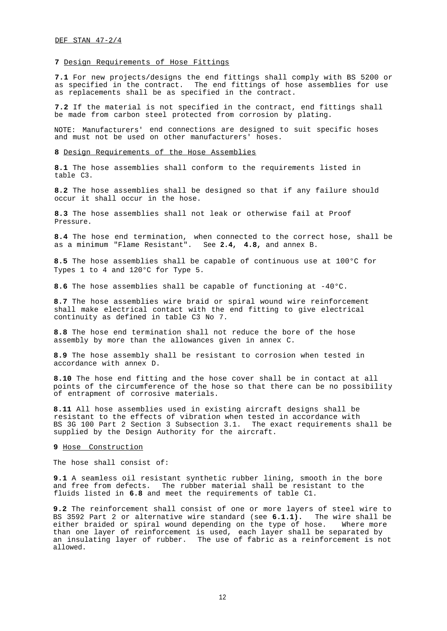### <span id="page-13-0"></span>**7** Design Requirements of Hose Fittings

**7.1** For new projects/designs the end fittings shall comply with BS 5200 or as specified in the contract. The end fittings of hose assemblies for use as replacements shall be as specified in the contract.

**7.2** If the material is not specified in the contract, end fittings shall be made from carbon steel protected from corrosion by plating.

NOTE: Manufacturers' end connections are designed to suit specific hoses and must not be used on other manufacturers' hoses.

### <span id="page-13-1"></span>**8** Design Requirements of the Hose Assemblies

**8.1** The hose assemblies shall conform to the requirements listed in table C3.

**8.2** The hose assemblies shall be designed so that if any failure should occur it shall occur in the hose.

**8.3** The hose assemblies shall not leak or otherwise fail at Proof Pressure.

**8.4** The hose end termination, when connected to the correct hose, shall be as a minimum "Flame Resistant". See **2.4, 4.8,** and annex B.

**8.5** The hose assemblies shall be capable of continuous use at 100°C for Types 1 to 4 and 120°C for Type 5.

**8.6** The hose assemblies shall be capable of functioning at -40°C.

<span id="page-13-2"></span>**8.7** The hose assemblies wire braid or spiral wound wire reinforcement shall make electrical contact with the end fitting to give electrical continuity as defined in table C3 No 7.

**8.8** The hose end termination shall not reduce the bore of the hose assembly by more than the allowances given in annex C.

**8.9** The hose assembly shall be resistant to corrosion when tested in accordance with annex D.

**8.10** The hose end fitting and the hose cover shall be in contact at all points of the circumference of the hose so that there can be no possibility of entrapment of corrosive materials.

**8.11** All hose assemblies used in existing aircraft designs shall be resistant to the effects of vibration when tested in accordance with BS 3G 100 Part 2 Section 3 Subsection 3.1. The exact requirements shall be supplied by the Design Authority for the aircraft.

#### **9** Hose Construction

The hose shall consist of:

**9.1** A seamless oil resistant synthetic rubber lining, smooth in the bore and free from defects. The rubber material shall be resistant to the fluids listed in **6.8** and meet the requirements of table C1.

**9.2** The reinforcement shall consist of one or more layers of steel wire to BS 3592 Part 2 or alternative wire standard (see **6.1.1).** The wire shall be either braided or spiral wound depending on the type of hose. Where more than one layer of reinforcement is used, each layer shall be separated by an insulating layer of rubber. The use of fabric as a reinforcement is not allowed.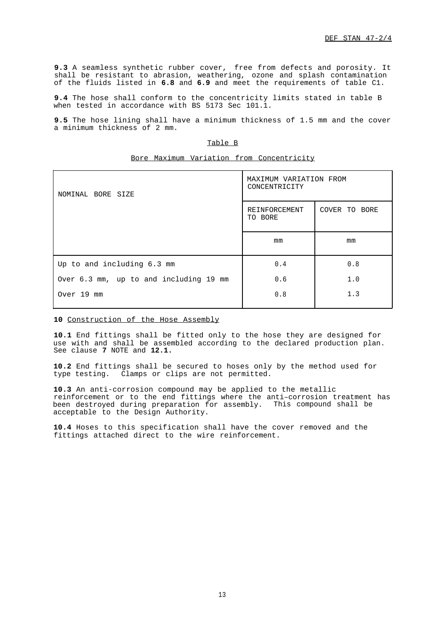**9.3** A seamless synthetic rubber cover, free from defects and porosity. It shall be resistant to abrasion, weathering, ozone and splash contamination of the fluids listed in **6.8** and **6.9** and meet the requirements of table C1.

**9.4** The hose shall conform to the concentricity limits stated in table B when tested in accordance with BS 5173 Sec 101.1.

<span id="page-14-1"></span>**9.5** The hose lining shall have a minimum thickness of 1.5 mm and the cover a minimum thickness of 2 mm.

## Table B

|                                        | $\frac{1}{1000}$                        |               |
|----------------------------------------|-----------------------------------------|---------------|
| NOMINAL BORE SIZE                      | MAXIMUM VARIATION FROM<br>CONCENTRICITY |               |
|                                        | REINFORCEMENT<br>TO BORE                | COVER TO BORE |
|                                        | mm                                      | mm            |
| Up to and including 6.3 mm             | 0.4                                     | 0.8           |
| Over 6.3 mm, up to and including 19 mm | 0.6                                     | 1.0           |
| Over 19 mm                             | 0.8                                     | 1.3           |
|                                        |                                         |               |

## Bore Maximum Variation from Concentricity

## <span id="page-14-0"></span>**10** Construction of the Hose Assembly

**10.1** End fittings shall be fitted only to the hose they are designed for use with and shall be assembled according to the declared production plan. See clause **7** NOTE and **12.1.**

**10.2** End fittings shall be secured to hoses only by the method used for type testing. Clamps or clips are not permitted.

**10.3** An anti-corrosion compound may be applied to the metallic reinforcement or to the end fittings where the anti–corrosion treatment has been destroyed during preparation for assembly. This compound shall be acceptable to the Design Authority.

**10.4** Hoses to this specification shall have the cover removed and the fittings attached direct to the wire reinforcement.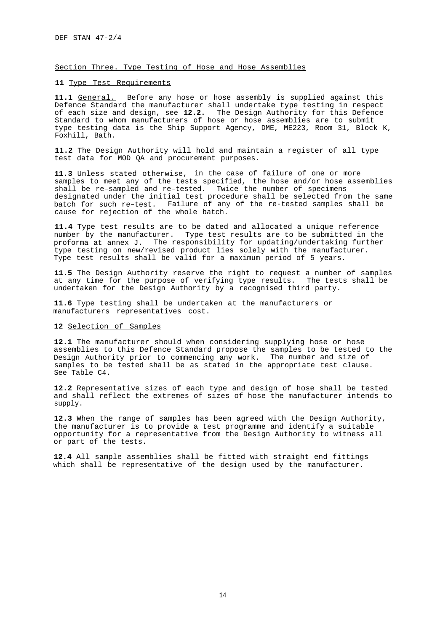<span id="page-15-0"></span>Section Three. Type Testing of Hose and Hose Assemblies

## <span id="page-15-1"></span>**11** Type Test Requirements

11.1 General. Before any hose or hose assembly is supplied against this Defence Standard the manufacturer shall undertake type testing in respect of each size and design, see **12.2.** The Design Authority for this Defence Standard to whom manufacturers of hose or hose assemblies are to submit type testing data is the Ship Support Agency, DME, ME223, Room 31, Block K, Foxhill, Bath.

**11.2** The Design Authority will hold and maintain a register of all type test data for MOD QA and procurement purposes.

**11.3** Unless stated otherwise, in the case of failure of one or more samples to meet any of the tests specified, the hose and/or hose assemblies shall be re–sampled and re–tested. Twice the number of specimens designated under the initial test procedure shall be selected from the same batch for such re–test. Failure of any of the re-tested samples shall be cause for rejection of the whole batch.

**11.4** Type test results are to be dated and allocated a unique reference number by the manufacturer. Type test results are to be submitted in the proforma at annex J. The responsibility for updating/undertaking further type testing on new/revised product lies solely with the manufacturer. Type test results shall be valid for a maximum period of 5 years.

**11.5** The Design Authority reserve the right to request a number of samples at any time for the purpose of verifying type results. The tests shall be undertaken for the Design Authority by a recognised third party.

<span id="page-15-2"></span>**11.6** Type testing shall be undertaken at the manufacturers or manufacturers representatives cost.

## **12** Selection of Samples

**12.1** The manufacturer should when considering supplying hose or hose assemblies to this Defence Standard propose the samples to be tested to the Design Authority prior to commencing any work. The number and size of samples to be tested shall be as stated in the appropriate test clause. See Table C4.

**12.2** Representative sizes of each type and design of hose shall be tested and shall reflect the extremes of sizes of hose the manufacturer intends to supply.

**12.3** When the range of samples has been agreed with the Design Authority, the manufacturer is to provide a test programme and identify a suitable opportunity for a representative from the Design Authority to witness all or part of the tests.

**12.4** All sample assemblies shall be fitted with straight end fittings which shall be representative of the design used by the manufacturer.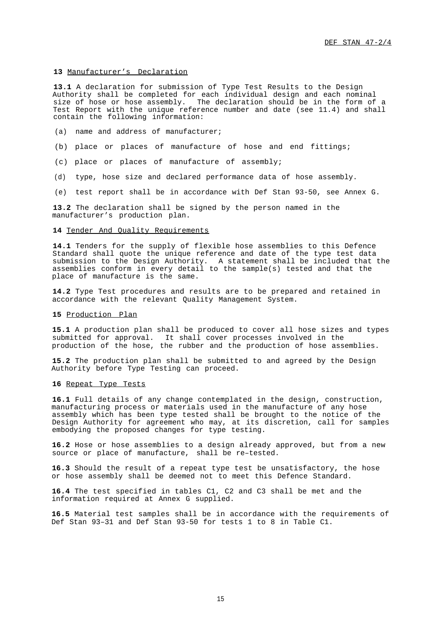### <span id="page-16-0"></span>**13** Manufacturer's Declaration

**13.1** A declaration for submission of Type Test Results to the Design Authority shall be completed for each individual design and each nominal size of hose or hose assembly. The declaration should be in the form of a Test Report with the unique reference number and date (see 11.4) and shall contain the following information:

- (a) name and address of manufacturer;
- (b) place or places of manufacture of hose and end fittings;
- (c) place or places of manufacture of assembly;
- (d) type, hose size and declared performance data of hose assembly.
- (e) test report shall be in accordance with Def Stan 93-50, see Annex G.

**13.2** The declaration shall be signed by the person named in the manufacturer's production plan.

### <span id="page-16-1"></span>14 Tender And Ouality Requirements

**14.1** Tenders for the supply of flexible hose assemblies to this Defence Standard shall quote the unique reference and date of the type test data submission to the Design Authority. A statement shall be included that the assemblies conform in every detail to the sample(s) tested and that the place of manufacture is the same.

**14.2** Type Test procedures and results are to be prepared and retained in accordance with the relevant Quality Management System.

## <span id="page-16-3"></span><span id="page-16-2"></span>**15** Production Plan

**15.1** A production plan shall be produced to cover all hose sizes and types submitted for approval. It shall cover processes involved in the production of the hose, the rubber and the production of hose assemblies.

**15.2** The production plan shall be submitted to and agreed by the Design Authority before Type Testing can proceed.

## **16** Repeat Type Tests

**16.1** Full details of any change contemplated in the design, construction, manufacturing process or materials used in the manufacture of any hose assembly which has been type tested shall be brought to the notice of the Design Authority for agreement who may, at its discretion, call for samples embodying the proposed changes for type testing.

**16.2** Hose or hose assemblies to a design already approved, but from a new source or place of manufacture, shall be re–tested.

**16.3** Should the result of a repeat type test be unsatisfactory, the hose or hose assembly shall be deemed not to meet this Defence Standard.

**16.4** The test specified in tables C1, C2 and C3 shall be met and the information required at Annex G supplied.

**16.5** Material test samples shall be in accordance with the requirements of Def Stan 93–31 and Def Stan 93-50 for tests 1 to 8 in Table C1.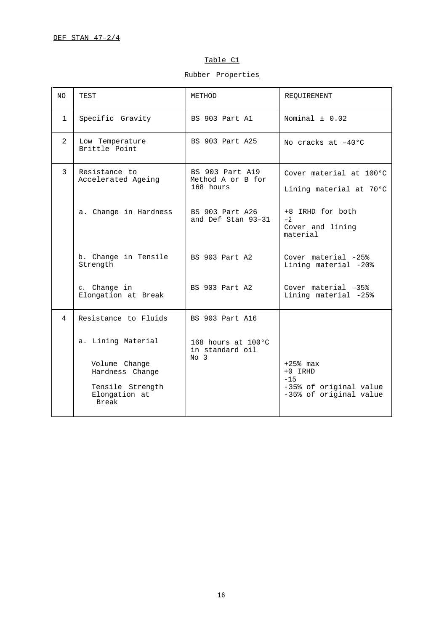## Table C1

Rubber Properties

<span id="page-17-0"></span>

| NO.            | TEST                                                                                                 | METHOD                                                    | REQUIREMENT                                                                           |
|----------------|------------------------------------------------------------------------------------------------------|-----------------------------------------------------------|---------------------------------------------------------------------------------------|
| $\mathbf{1}$   | Specific Gravity                                                                                     | BS 903 Part A1                                            | Nominal $\pm$ 0.02                                                                    |
| $\overline{2}$ | Low Temperature<br>Brittle Point                                                                     | BS 903 Part A25                                           | No cracks at $-40^{\circ}$ C                                                          |
| 3              | Resistance to<br>Accelerated Ageing                                                                  | BS 903 Part A19<br>Method A or B for<br>168 hours         | Cover material at 100°C<br>Lining material at 70°C                                    |
|                | a. Change in Hardness                                                                                | BS 903 Part A26<br>and Def Stan 93-31                     | +8 IRHD for both<br>$-2$<br>Cover and lining<br>material                              |
|                | b. Change in Tensile<br>Strength                                                                     | BS 903 Part A2                                            | Cover material -25%<br>Lining material -20%                                           |
|                | c. Change in<br>Elongation at Break                                                                  | BS 903 Part A2                                            | Cover material $-35\%$<br>Lining material -25%                                        |
| $\overline{4}$ | Resistance to Fluids                                                                                 | BS 903 Part A16                                           |                                                                                       |
|                | a. Lining Material<br>Volume Change<br>Hardness Change<br>Tensile Strength<br>Elongation at<br>Break | 168 hours at 100 °C<br>in standard oil<br>No <sub>3</sub> | $+25$ % max<br>$+0$ IRHD<br>$-15$<br>-35% of original value<br>-35% of original value |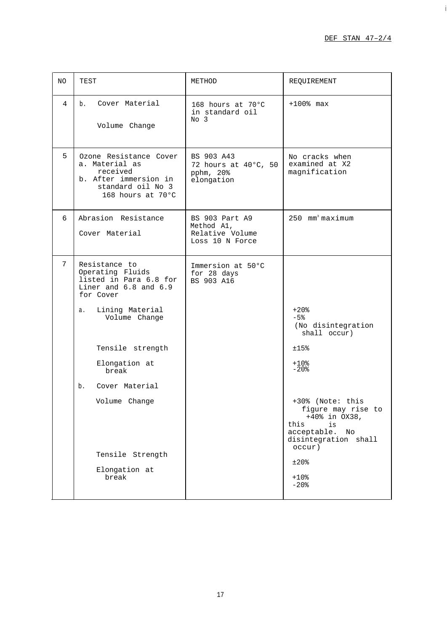i

| NO.            | TEST                                                                                                                                                                                                                                                                             | METHOD                                                             | REQUIREMENT                                                                                                                                                                                                                                                |
|----------------|----------------------------------------------------------------------------------------------------------------------------------------------------------------------------------------------------------------------------------------------------------------------------------|--------------------------------------------------------------------|------------------------------------------------------------------------------------------------------------------------------------------------------------------------------------------------------------------------------------------------------------|
| $\overline{4}$ | b. Cover Material<br>Volume Change                                                                                                                                                                                                                                               | 168 hours at 70°C<br>in standard oil<br>No <sub>3</sub>            | $+100$ % max                                                                                                                                                                                                                                               |
| 5              | Ozone Resistance Cover<br>a. Material as<br>received<br>b. After immersion in<br>standard oil No 3<br>168 hours at 70°C                                                                                                                                                          | BS 903 A43<br>72 hours at 40°C, 50<br>pphm, 20%<br>elongation      | No cracks when<br>examined at X2<br>magnification                                                                                                                                                                                                          |
| 6              | Abrasion Resistance<br>Cover Material                                                                                                                                                                                                                                            | BS 903 Part A9<br>Method A1,<br>Relative Volume<br>Loss 10 N Force | $250$ mm <sup>3</sup> maximum                                                                                                                                                                                                                              |
| 7              | Resistance to<br>Operating Fluids<br>listed in Para 6.8 for<br>Liner and 6.8 and 6.9<br>for Cover<br>Lining Material<br>а.<br>Volume Change<br>Tensile strength<br>Elongation at<br>break<br>b.<br>Cover Material<br>Volume Change<br>Tensile Strength<br>Elongation at<br>break | Immersion at 50°C<br>for 28 days<br>BS 903 A16                     | $+20$ %<br>$-5%$<br>(No disintegration<br>shall occur)<br>±15%<br>$+10.8$<br>$-20$ %<br>+30% (Note: this<br>figure may rise to<br>$+40\$ in $OX38$ ,<br>this<br>is<br>acceptable.<br>No<br>disintegration shall<br>occur)<br>$±20$ %<br>$+10$ %<br>$-20$ % |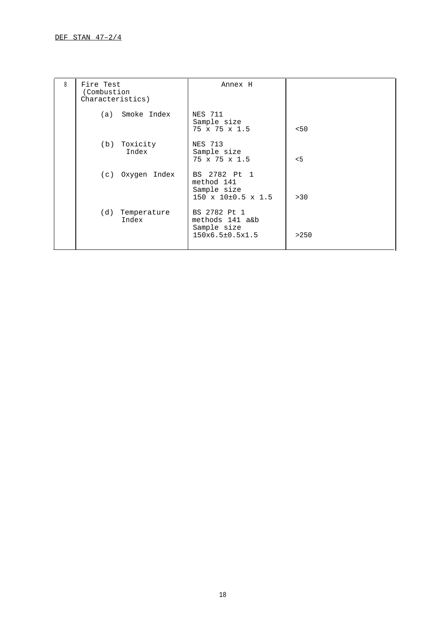| 8 | Fire Test<br>(Combustion<br>Characteristics) | Annex H                                                                       |      |
|---|----------------------------------------------|-------------------------------------------------------------------------------|------|
|   | (a) Smoke Index                              | NES 711<br>Sample size<br>$75 \times 75 \times 1.5$                           | 50<  |
|   | (b) Toxicity<br>Index                        | <b>NES 713</b><br>Sample size<br>$75 \times 75 \times 1.5$                    | 5<   |
|   | (c) Oxygen Index                             | BS 2782 Pt 1<br>method 141<br>Sample size<br>$150 \times 10\pm0.5 \times 1.5$ | > 30 |
|   | (d) Temperature<br>Index                     | BS 2782 Pt 1<br>methods 141 a&b<br>Sample size<br>150x6.5±0.5x1.5             | >250 |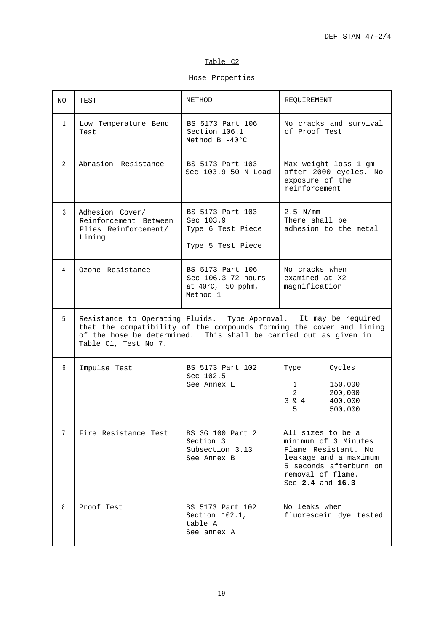## Table C2

Hose Properties

| NO.            | TEST                                                                                     | METHOD                                                                  | REOUIREMENT                                                                                                                                                  |
|----------------|------------------------------------------------------------------------------------------|-------------------------------------------------------------------------|--------------------------------------------------------------------------------------------------------------------------------------------------------------|
| $\mathbf{1}$   | Low Temperature Bend<br>Test                                                             | BS 5173 Part 106<br>Section 106.1<br>Method B $-40^{\circ}$ C           | No cracks and survival<br>of Proof Test                                                                                                                      |
| $\overline{2}$ | Abrasion Resistance                                                                      | BS 5173 Part 103<br>Sec 103.9 50 N Load                                 | Max weight loss 1 gm<br>after 2000 cycles. No<br>exposure of the<br>reinforcement                                                                            |
| 3              | Adhesion Cover/<br>Reinforcement Between<br>Plies Reinforcement/<br>Lining               | BS 5173 Part 103<br>Sec 103.9<br>Type 6 Test Piece<br>Type 5 Test Piece | $2.5 \text{ N/mm}$<br>There shall be<br>adhesion to the metal                                                                                                |
| 4              | Ozone Resistance                                                                         | BS 5173 Part 106<br>Sec 106.3 72 hours<br>at 40°C, 50 pphm,<br>Method 1 | No cracks when<br>examined at X2<br>magnification                                                                                                            |
| 5              | of the hose be determined. This shall be carried out as given in<br>Table C1, Test No 7. |                                                                         | Resistance to Operating Fluids. Type Approval. It may be required<br>that the compatibility of the compounds forming the cover and lining                    |
| 6              | Impulse Test                                                                             | BS 5173 Part 102<br>Sec 102.5<br>See Annex E                            | Cycles<br>Type<br>150,000<br>$1 \quad$<br>$\overline{2}$<br>200,000<br>3 & 4<br>400,000<br>500,000<br>5.                                                     |
| 7              | Fire Resistance Test                                                                     | BS 3G 100 Part 2<br>Section 3<br>Subsection 3.13<br>See Annex B         | All sizes to be a<br>minimum of 3 Minutes<br>Flame Resistant. No<br>leakage and a maximum<br>5 seconds afterburn on<br>removal of flame.<br>See 2.4 and 16.3 |
| 8              | Proof Test                                                                               | BS 5173 Part 102<br>Section 102.1,<br>table A<br>See annex A            | No leaks when<br>fluorescein dye tested                                                                                                                      |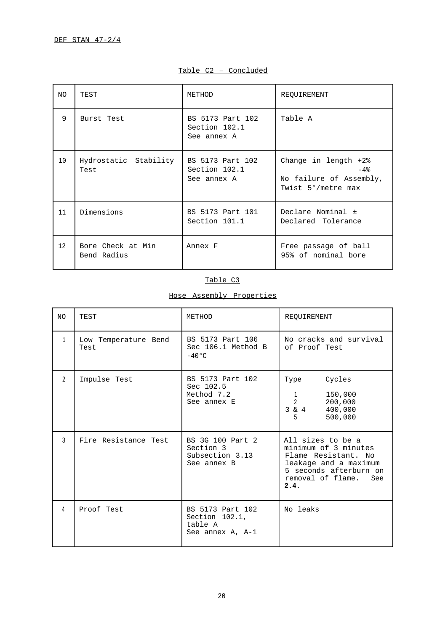| NO. | TEST                             | METHOD                                           | REQUIREMENT                                                                      |
|-----|----------------------------------|--------------------------------------------------|----------------------------------------------------------------------------------|
| 9   | Burst Test                       | BS 5173 Part 102<br>Section 102.1<br>See annex A | Table A                                                                          |
| 10  | Hydrostatic Stability<br>Test    | BS 5173 Part 102<br>Section 102.1<br>See annex A | Change in length $+2\$<br>$-4%$<br>No failure of Assembly,<br>Twist 5°/metre max |
| 11  | Dimensions                       | BS 5173 Part 101<br>Section 101.1                | Declare Nominal ±<br>Declared Tolerance                                          |
| 12  | Bore Check at Min<br>Bend Radius | Annex F                                          | Free passage of ball<br>95% of nominal bore                                      |

## Table C2 – Concluded

## Table C3

# Hose Assembly Properties

| N <sub>O</sub> | TEST                         | METHOD                                                            | REQUIREMENT                                                                                                                                             |
|----------------|------------------------------|-------------------------------------------------------------------|---------------------------------------------------------------------------------------------------------------------------------------------------------|
| $\mathbf{1}$   | Low Temperature Bend<br>Test | BS 5173 Part 106<br>Sec 106.1 Method B<br>$-40^{\circ}$ C         | No cracks and survival<br>of Proof Test                                                                                                                 |
| 2              | Impulse Test                 | BS 5173 Part 102<br>Sec 102.5<br>Method 7.2<br>See annex E        | Cycles<br>Type<br>150,000<br>$\mathbf{1}$<br>$\overline{2}$<br>200,000<br>$3 \& 4$<br>400,000<br>500,000<br>5                                           |
| ζ              | Fire Resistance Test         | BS 3G 100 Part 2<br>Section 3<br>Subsection 3.13<br>See annex B   | All sizes to be a<br>minimum of 3 minutes<br>Flame Resistant. No<br>leakage and a maximum<br>5 seconds afterburn on<br>removal of flame.<br>See<br>2.4. |
| 4              | Proof Test                   | BS 5173 Part 102<br>Section 102.1,<br>table A<br>See annex A, A-1 | No leaks                                                                                                                                                |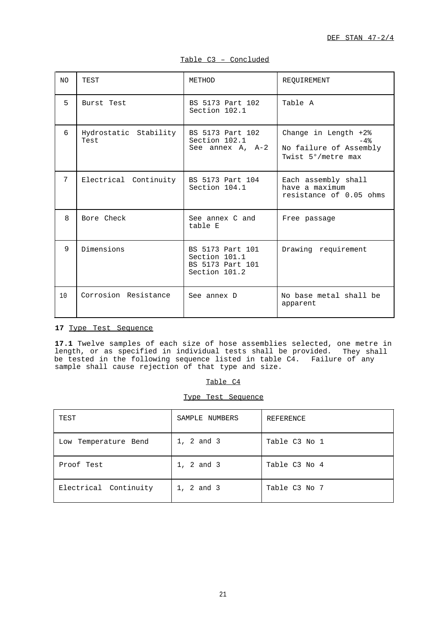| NO. | TEST                          | METHOD                                                                 | REQUIREMENT                                                                   |
|-----|-------------------------------|------------------------------------------------------------------------|-------------------------------------------------------------------------------|
| 5   | Burst Test                    | BS 5173 Part 102<br>Section 102.1                                      | Table A                                                                       |
| б.  | Hydrostatic Stability<br>Test | BS 5173 Part 102<br>Section 102.1<br>See annex A, A-2                  | Change in Length +2%<br>$-4%$<br>No failure of Assembly<br>Twist 5°/metre max |
| 7   | Electrical Continuity         | BS 5173 Part 104<br>Section 104.1                                      | Each assembly shall<br>have a maximum<br>resistance of 0.05 ohms              |
| 8   | Bore Check                    | See annex C and<br>table E                                             | Free passage                                                                  |
| 9   | Dimensions                    | BS 5173 Part 101<br>Section 101.1<br>BS 5173 Part 101<br>Section 101.2 | Drawing requirement                                                           |
| 10  | Corrosion Resistance          | See annex D                                                            | No base metal shall be<br>apparent                                            |

Table C3 – Concluded

## <span id="page-22-0"></span>**17** Type Test Sequence

**17.1** Twelve samples of each size of hose assemblies selected, one metre in length, or as specified in individual tests shall be provided. They shall be tested in the following sequence listed in table C4. Failure of any sample shall cause rejection of that type and size.

|--|

|  | Type Test Sequence |
|--|--------------------|
|  |                    |

| TEST                    | SAMPLE NUMBERS | REFERENCE     |
|-------------------------|----------------|---------------|
| Temperature Bend<br>Low | 1, 2 and 3     | Table C3 No 1 |
| Proof Test              | 1, 2 and 3     | Table C3 No 4 |
| Electrical Continuity   | 1, 2 and 3     | Table C3 No 7 |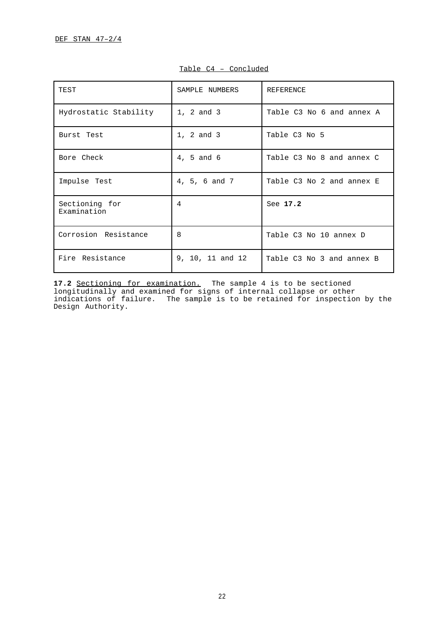| TEST                          | SAMPLE NUMBERS   | REFERENCE                 |
|-------------------------------|------------------|---------------------------|
| Hydrostatic Stability         | 1, 2 and 3       | Table C3 No 6 and annex A |
| Burst Test                    | 1, 2 and 3       | Table C3 No 5             |
| Bore Check                    | 4, 5 and 6       | Table C3 No 8 and annex C |
| Impulse Test                  | 4, 5, 6 and 7    | Table C3 No 2 and annex E |
| Sectioning for<br>Examination | $\overline{4}$   | See 17.2                  |
| Corrosion Resistance          | $\mathsf{R}$     | Table C3 No 10 annex D    |
| Fire Resistance               | 9, 10, 11 and 12 | Table C3 No 3 and annex B |

## Table C4 – Concluded

**17.2** Sectioning for examination. The sample 4 is to be sectioned longitudinally and examined for signs of internal collapse or other indications of failure. The sample is to be retained for inspection by the Design Authority.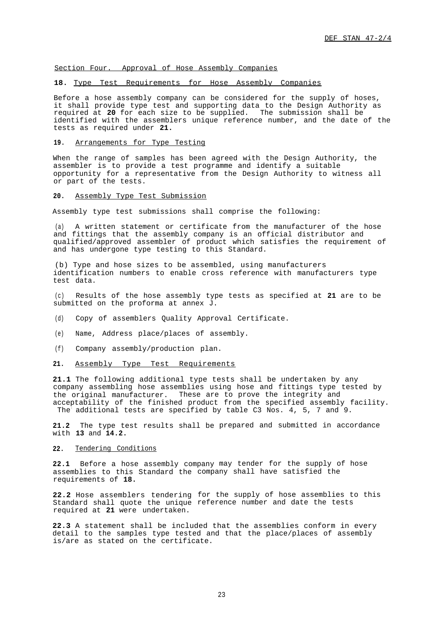<span id="page-24-0"></span>Section Four. Approval of Hose Assembly Companies

### <span id="page-24-1"></span>**18.** Type Test Requirements for Hose Assembly Companies

Before a hose assembly company can be considered for the supply of hoses, it shall provide type test and supporting data to the Design Authority as required at **20** for each size to be supplied. The submission shall be identified with the assemblers unique reference number, and the date of the tests as required under **21.**

<span id="page-24-2"></span>**19.** Arrangements for Type Testing

When the range of samples has been agreed with the Design Authority, the assembler is to provide a test programme and identify a suitable opportunity for a representative from the Design Authority to witness all or part of the tests.

## <span id="page-24-3"></span>**20.** Assembly Type Test Submission

Assembly type test submissions shall comprise the following:

(a) A written statement or certificate from the manufacturer of the hose and fittings that the assembly company is an official distributor and qualified/approved assembler of product which satisfies the requirement of and has undergone type testing to this Standard.

(b) Type and hose sizes to be assembled, using manufacturers identification numbers to enable cross reference with manufacturers type test data.

(c) Results of the hose assembly type tests as specified at **21** are to be submitted on the proforma at annex J.

- <span id="page-24-4"></span>(d) Copy of assemblers Quality Approval Certificate.
- (e) Name, Address place/places of assembly.
- (f) Company assembly/production plan.

## **21.** Assembly Type Test Requirements

**21.1** The following additional type tests shall be undertaken by any company assembling hose assemblies using hose and fittings type tested by the original manufacturer. These are to prove the integrity and acceptability of the finished product from the specified assembly facility. The additional tests are specified by table C3 Nos. 4, 5, 7 and 9.

**21.2** The type test results shall be prepared and submitted in accordance with **13** and **14.2.**

#### **22.** Tendering Conditions

22.1 Before a hose assembly company may tender for the supply of hose assemblies to this Standard the company shall have satisfied the requirements of **18.**

**22.2** Hose assemblers tendering for the supply of hose assemblies to this Standard shall quote the unique reference number and date the tests required at **21** were undertaken.

**22.3** A statement shall be included that the assemblies conform in every detail to the samples type tested and that the place/places of assembly is/are as stated on the certificate.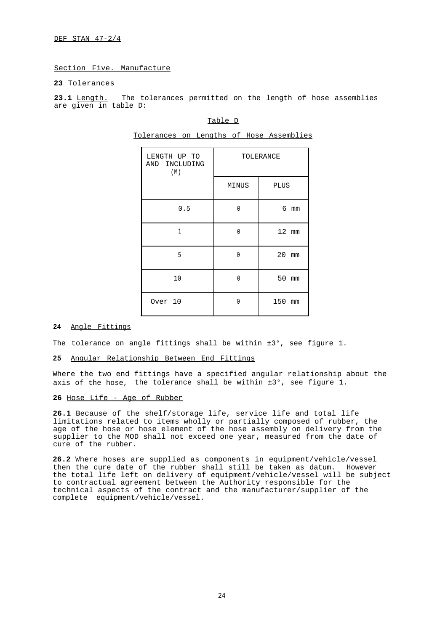DEF STAN 47-2/4

## <span id="page-25-0"></span>Section Five. Manufacture

## <span id="page-25-1"></span>**23** Tolerances

<span id="page-25-3"></span>23.1 Length. The tolerances permitted on the length of hose assemblies are given in table D:

## Table D

Tolerances on Lengths of Hose Assemblies

| LENGTH UP TO<br>AND INCLUDING<br>(M) | TOLERANCE |             |
|--------------------------------------|-----------|-------------|
|                                      | MINUS     | <b>PLUS</b> |
| 0.5                                  | Ŋ         | 6 mm        |
| $\mathbf{1}$                         | Ŋ         | 12 mm       |
| 5                                    | $\Omega$  | 20<br>mm    |
| 10                                   | Ŋ         | 50 mm       |
| Over 10                              | Λ         | 150<br>mm   |

## <span id="page-25-2"></span>24 Angle Fittings

The tolerance on angle fittings shall be within  $\pm 3^{\circ}$ , see figure 1.

### Angular Relationship Between End Fittings **25**

Where the two end fittings have a specified angular relationship about the axis of the hose, the tolerance shall be within  $\pm 3^\circ$ , see figure 1.

## **26** Hose Life - Age of Rubber

**26.1** Because of the shelf/storage life, service life and total life limitations related to items wholly or partially composed of rubber, the age of the hose or hose element of the hose assembly on delivery from the supplier to the MOD shall not exceed one year, measured from the date of cure of the rubber.

**26.2** Where hoses are supplied as components in equipment/vehicle/vessel then the cure date of the rubber shall still be taken as datum. However the total life left on delivery of equipment/vehicle/vessel will be subject to contractual agreement between the Authority responsible for the technical aspects of the contract and the manufacturer/supplier of the complete equipment/vehicle/vessel.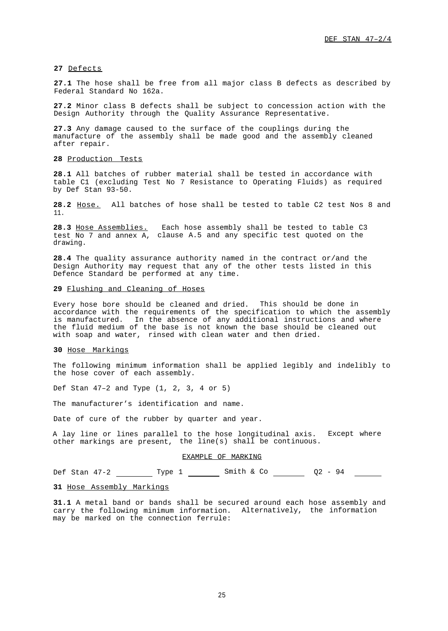## <span id="page-26-0"></span>**27** Defects

**27.1** The hose shall be free from all major class B defects as described by Federal Standard No 162a.

**27.2** Minor class B defects shall be subject to concession action with the Design Authority through the Quality Assurance Representative.

**27.3** Any damage caused to the surface of the couplings during the manufacture of the assembly shall be made good and the assembly cleaned after repair.

### <span id="page-26-1"></span>**28** Production Tests

**28.1** All batches of rubber material shall be tested in accordance with table C1 (excluding Test No 7 Resistance to Operating Fluids) as required by Def Stan 93-50.

**28.2** Hose. All batches of hose shall be tested to table C2 test Nos 8 and 11.

**28.3** Hose Assemblies. Each hose assembly shall be tested to table C3 test No 7 and annex A, clause A.5 and any specific test quoted on the drawing.

**28.4** The quality assurance authority named in the contract or/and the Design Authority may request that any of the other tests listed in this Defence Standard be performed at any time.

### <span id="page-26-2"></span>**29** Flushing and Cleaning of Hoses

<span id="page-26-3"></span>Every hose bore should be cleaned and dried. This should be done in accordance with the requirements of the specification to which the assembly is manufactured. In the absence of any additional instructions and where the fluid medium of the base is not known the base should be cleaned out with soap and water, rinsed with clean water and then dried.

## **30** Hose Markings

The following minimum information shall be applied legibly and indelibly to the hose cover of each assembly.

Def Stan 47–2 and Type (1, 2, 3, 4 or 5)

The manufacturer's identification and name.

Date of cure of the rubber by quarter and year.

A lay line or lines parallel to the hose longitudinal axis. Except where other markings are present, the line(s) shall be continuous.

#### EXAMPLE OF MARKING

Def Stan 47-2 Type 1 Smith & Co 2 02 - 94

### **31** Hose Assembly Markings

**31.1** A metal band or bands shall be secured around each hose assembly and carry the following minimum information. Alternatively, the information may be marked on the connection ferrule: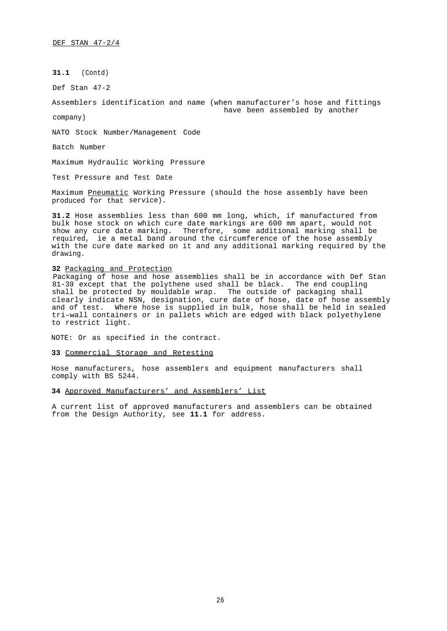**31.1** (Contd)

Def Stan 47-2

Assemblers identification and name (when manufacturer's hose and fittings have been assembled by another

company)

NATO Stock Number/Management Code

Batch Number

Maximum Hydraulic Working Pressure

Test Pressure and Test Date

Maximum <u>Pneumatic</u> Working Pressure (should the hose assembly have been produced for that service).

**31.2** Hose assemblies less than 600 mm long, which, if manufactured from bulk hose stock on which cure date markings are 600 mm apart, would not show any cure date marking. Therefore, some additional marking shall be required, ie a metal band around the circumference of the hose assembly with the cure date marked on it and any additional marking required by the drawing.

#### <span id="page-27-0"></span>**32** Packaging and Protection

Packaging of hose and hose assemblies shall be in accordance with Def Stan 81-39 except that the polythene used shall be black. The end coupling shall be protected by mouldable wrap. The outside of packaging shall clearly indicate NSN, designation, cure date of hose, date of hose assembly and of test. Where hose is supplied in bulk, hose shall be held in sealed tri–wall containers or in pallets which are edged with black polyethylene to restrict light.

<span id="page-27-1"></span>NOTE: Or as specified in the contract.

**33** Commercial Storage and Retesting

Hose manufacturers, hose assemblers and equipment manufacturers shall comply with BS 5244.

**34** Approved Manufacturers' and Assemblers' List

A current list of approved manufacturers and assemblers can be obtained from the Design Authority, see **11.1** for address.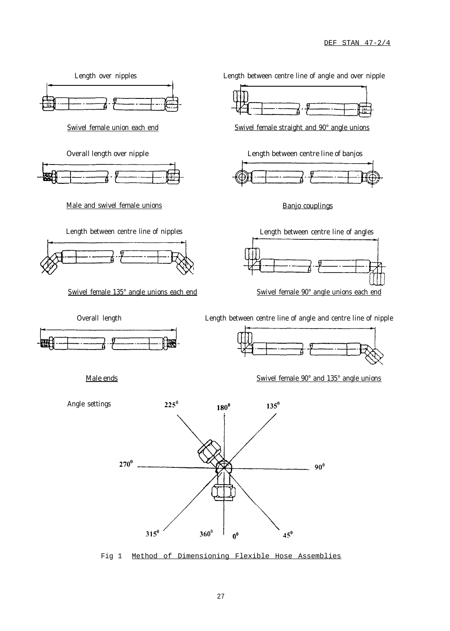<span id="page-28-0"></span>

Fig 1 Method of Dimensioning Flexible Hose Assemblies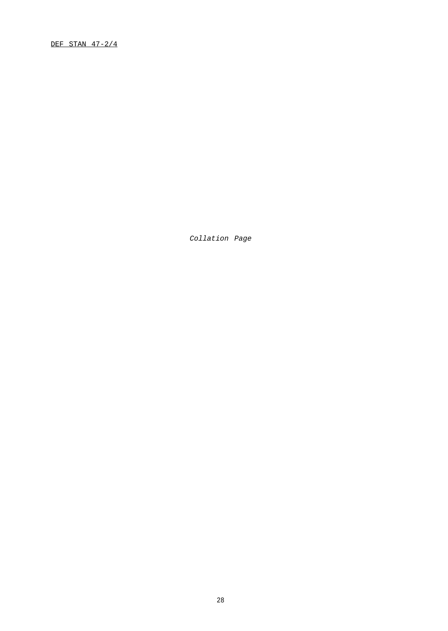DEF STAN 47-2/4

Collation Page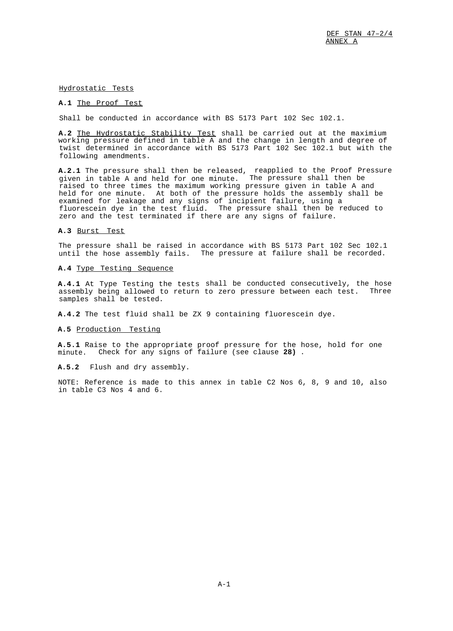## <span id="page-30-0"></span>Hydrostatic Tests

## **A.1** The Proof Test

Shall be conducted in accordance with BS 5173 Part 102 Sec 102.1.

**A.2** The Hydrostatic Stability Test shall be carried out at the maximium working pressure defined in table A and the change in length and degree of twist determined in accordance with BS 5173 Part 102 Sec 102.1 but with the following amendments.

**A.2.1** The pressure shall then be released, reapplied to the Proof Pressure given in table A and held for one minute. The pressure shall then be raised to three times the maximum working pressure given in table A and held for one minute. At both of the pressure holds the assembly shall be examined for leakage and any signs of incipient failure, using a fluorescein dye in the test fluid. The pressure shall then be reduced to zero and the test terminated if there are any signs of failure.

## **A.3** Burst Test

The pressure shall be raised in accordance with BS 5173 Part 102 Sec 102.1 until the hose assembly fails. The pressure at failure shall be recorded.

### **A.4** Type Testing Sequence

**A.4.1** At Type Testing the tests shall be conducted consecutively, the hose assembly being allowed to return to zero pressure between each test. Three samples shall be tested.

**A.4.2** The test fluid shall be ZX 9 containing fluorescein dye.

### **A.5** Production Testing

**A.5.1** Raise to the appropriate proof pressure for the hose, hold for one minute. Check for any signs of failure (see clause **28)** .

## **A.5.2** Flush and dry assembly.

NOTE: Reference is made to this annex in table C2 Nos 6, 8, 9 and 10, also in table C3 Nos 4 and 6.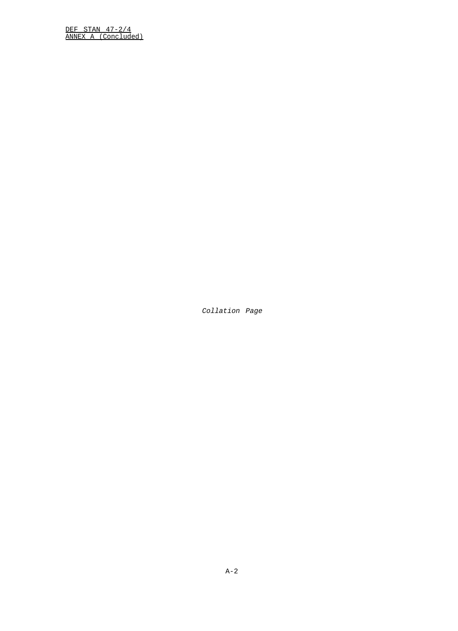DEF STAN 47-2/4 ANNEX A (Concluded)

Collation Page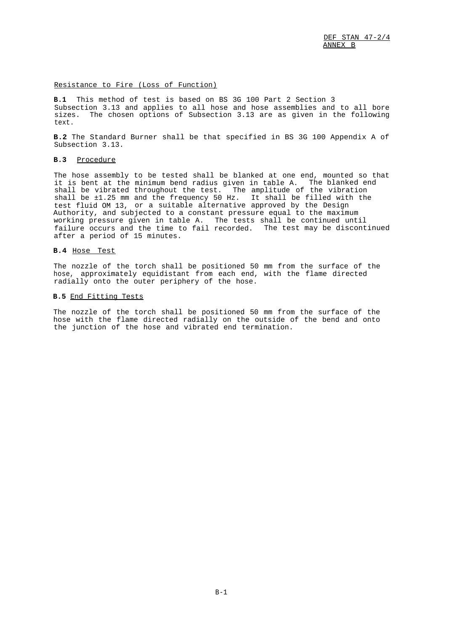### <span id="page-32-0"></span>Resistance to Fire (Loss of Function)

**B.1** This method of test is based on BS 3G 100 Part 2 Section 3 Subsection 3.13 and applies to all hose and hose assemblies and to all bore sizes. The chosen options of Subsection 3.13 are as given in the following text.

**B.2** The Standard Burner shall be that specified in BS 3G 100 Appendix A of Subsection 3.13.

## **B.3** Procedure

The hose assembly to be tested shall be blanked at one end, mounted so that it is bent at the minimum bend radius given in table A. The blanked end shall be vibrated throughout the test. The amplitude of the vibration shall be ±1.25 mm and the frequency 50 Hz. It shall be filled with the test fluid OM 13, or a suitable alternative approved by the Design Authority, and subjected to a constant pressure equal to the maximum working pressure given in table A. The tests shall be continued until failure occurs and the time to fail recorded. The test may be discontinued after a period of 15 minutes.

## **B.4** Hose Test

The nozzle of the torch shall be positioned 50 mm from the surface of the hose, approximately equidistant from each end, with the flame directed radially onto the outer periphery of the hose.

### **B.5** End Fitting Tests

The nozzle of the torch shall be positioned 50 mm from the surface of the hose with the flame directed radially on the outside of the bend and onto the junction of the hose and vibrated end termination.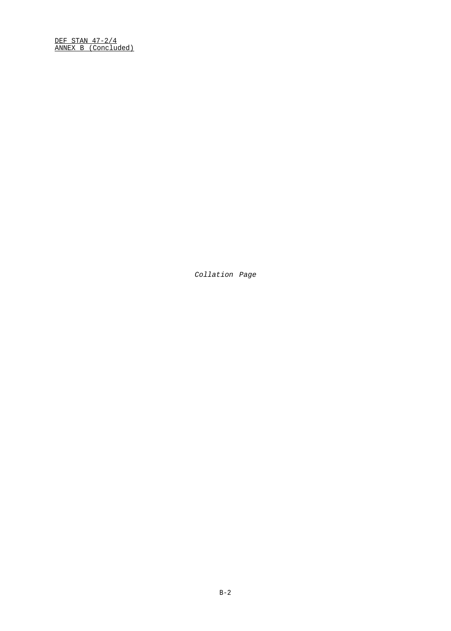DEF STAN 47-2/4 ANNEX B (Concluded)

Collation Page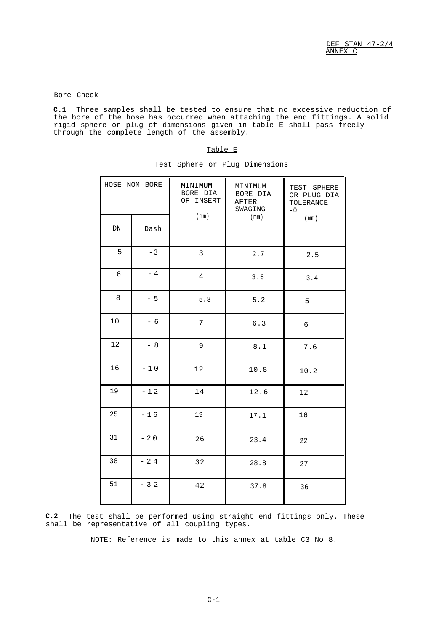## <span id="page-34-1"></span>Bore Check

<span id="page-34-0"></span>**C.1** Three samples shall be tested to ensure that no excessive reduction of the bore of the hose has occurred when attaching the end fittings. A solid rigid sphere or plug of dimensions given in table E shall pass freely through the complete length of the assembly.

|--|--|--|

| HOSE NOM BORE |       | MINIMUM<br>BORE DIA<br>OF INSERT | MINIMUM<br>BORE DIA<br>AFTER<br>SWAGING | TEST SPHERE<br>OR PLUG DIA<br>TOLERANCE<br>$-0$ |
|---------------|-------|----------------------------------|-----------------------------------------|-------------------------------------------------|
| DN            | Dash  | (mm)                             | (mm)                                    | (mm)                                            |
| 5             | $-3$  | 3                                | $2\,.7$                                 | 2.5                                             |
| $\epsilon$    | $-4$  | $\overline{4}$                   | 3.6                                     | 3.4                                             |
| $\,8\,$       | $-5$  | $5.8$                            | 5.2                                     | 5                                               |
| $10$          | $-6$  | 7 <sup>1</sup>                   | $6.3$                                   | 6                                               |
| 12            | $-8$  | 9                                | $\,8$ . $1$                             | 7.6                                             |
| 16            | $-10$ | $1\,2$                           | 10.8                                    | 10.2                                            |
| 19            | $-12$ | 14                               | 12.6                                    | 12                                              |
| 25            | $-16$ | 19                               | 17.1                                    | 16                                              |
| 31            | $-20$ | 26                               | 23.4                                    | 22                                              |
| 38            | $-24$ | 32                               | 28.8                                    | 27                                              |
| 51            | $-32$ | 42                               | 37.8                                    | 36                                              |

Test Sphere or Plug Dimensions

**C.2** The test shall be performed using straight end fittings only. These shall be representative of all coupling types.

NOTE: Reference is made to this annex at table C3 No 8.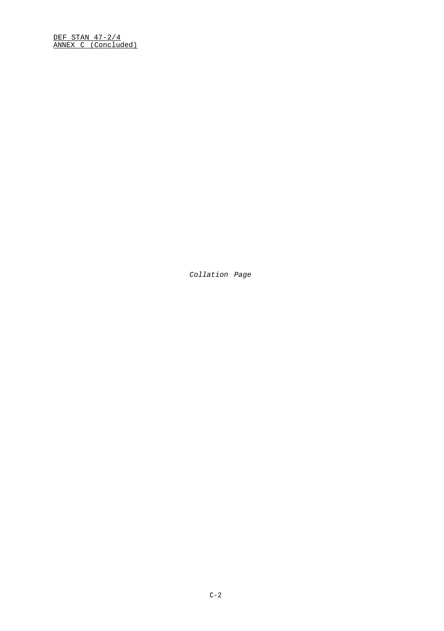DEF STAN 47-2/4 ANNEX C (Concluded)

Collation Page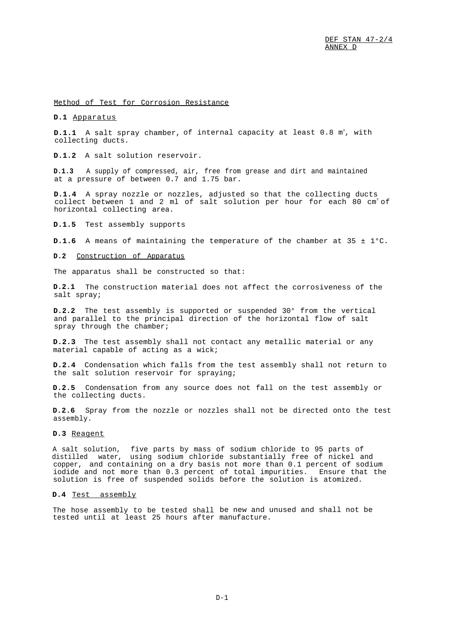<span id="page-36-0"></span>Method of Test for Corrosion Resistance

## **D.1** Apparatus

**D.1.1** A salt spray chamber, of internal capacity at least 0.8 m<sup>3</sup>, with collecting ducts.

**D.1.2** A salt solution reservoir.

**D.1.3** A supply of compressed, air, free from grease and dirt and maintained at a pressure of between 0.7 and 1.75 bar.

**D.1.4** A spray nozzle or nozzles, adjusted so that the collecting ducts collect between 1 and 2 ml of salt solution per hour for each 80  $cm<sup>2</sup>$  of horizontal collecting area.

**D.1.5** Test assembly supports

**D.1.6** A means of maintaining the temperature of the chamber at 35 ± 1°C.

### **D.2** Construction of Apparatus

The apparatus shall be constructed so that:

**D.2.1** The construction material does not affect the corrosiveness of the salt spray;

**D.2.2** The test assembly is supported or suspended 30° from the vertical and parallel to the principal direction of the horizontal flow of salt spray through the chamber;

**D.2.3** The test assembly shall not contact any metallic material or any material capable of acting as a wick;

**D.2.4** Condensation which falls from the test assembly shall not return to the salt solution reservoir for spraying;

**D.2.5** Condensation from any source does not fall on the test assembly or the collecting ducts.

**D.2.6** Spray from the nozzle or nozzles shall not be directed onto the test assembly.

## **D.3** Reagent

A salt solution, five parts by mass of sodium chloride to 95 parts of distilled water, using sodium chloride substantially free of nickel and copper, and containing on a dry basis not more than 0.1 percent of sodium iodide and not more than 0.3 percent of total impurities. Ensure that the solution is free of suspended solids before the solution is atomized.

## **D.4** Test assembly

The hose assembly to be tested shall be new and unused and shall not be tested until at least 25 hours after manufacture.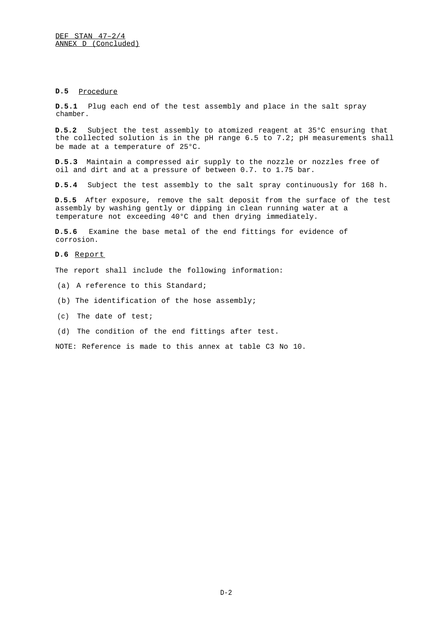## **D.5** Procedure

**D.5.1** Plug each end of the test assembly and place in the salt spray chamber.

**D.5.2** Subject the test assembly to atomized reagent at 35°C ensuring that the collected solution is in the pH range 6.5 to 7.2; pH measurements shall be made at a temperature of 25°C.

**D.5.3** Maintain a compressed air supply to the nozzle or nozzles free of oil and dirt and at a pressure of between 0.7. to 1.75 bar.

**D.5.4** Subject the test assembly to the salt spray continuously for 168 h.

**D.5.5** After exposure, remove the salt deposit from the surface of the test assembly by washing gently or dipping in clean running water at a temperature not exceeding 40°C and then drying immediately.

**D.5.6** Examine the base metal of the end fittings for evidence of corrosion.

## **D.6** Report

The report shall include the following information:

- (a) A reference to this Standard;
- (b) The identification of the hose assembly;
- (c) The date of test;
- (d) The condition of the end fittings after test.

NOTE: Reference is made to this annex at table C3 No 10.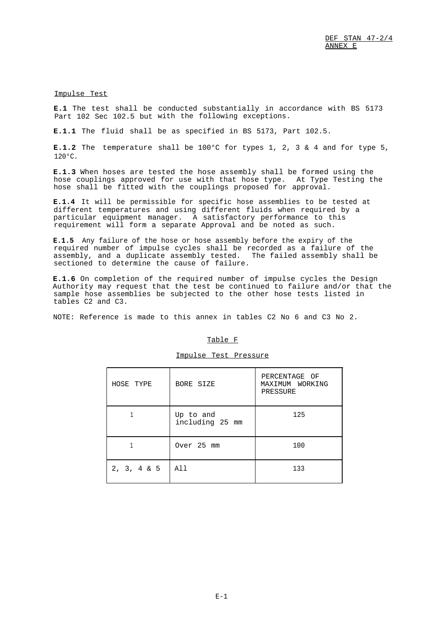<span id="page-38-1"></span>Impulse Test

**E.1** The test shall be conducted substantially in accordance with BS 5173 Part 102 Sec 102.5 but with the following exceptions.

**E.1.1** The fluid shall be as specified in BS 5173, Part 102.5.

E.1.2 The temperature shall be 100°C for types 1, 2, 3 & 4 and for type 5,  $120°C$ .

**E.1.3** When hoses are tested the hose assembly shall be formed using the hose couplings approved for use with that hose type. At Type Testing the hose shall be fitted with the couplings proposed for approval.

**E.1.4** It will be permissible for specific hose assemblies to be tested at different temperatures and using different fluids when required by a particular equipment manager. A satisfactory performance to this requirement will form a separate Approval and be noted as such.

**E.1.5** Any failure of the hose or hose assembly before the expiry of the required number of impulse cycles shall be recorded as a failure of the assembly, and a duplicate assembly tested. The failed assembly shall be sectioned to determine the cause of failure.

**E.1.6** On completion of the required number of impulse cycles the Design Authority may request that the test be continued to failure and/or that the sample hose assemblies be subjected to the other hose tests listed in tables C2 and C3.

<span id="page-38-0"></span>NOTE: Reference is made to this annex in tables C2 No 6 and C3 No 2.

### Table F

## Impulse Test Pressure

| HOSE TYPE      | BORE SIZE                    | PERCENTAGE OF<br>MAXIMUM WORKING<br>PRESSURE |
|----------------|------------------------------|----------------------------------------------|
|                | Up to and<br>including 25 mm | 125                                          |
|                | Over 25 mm                   | 100                                          |
| $2, 3, 4 \& 5$ | All                          | 133                                          |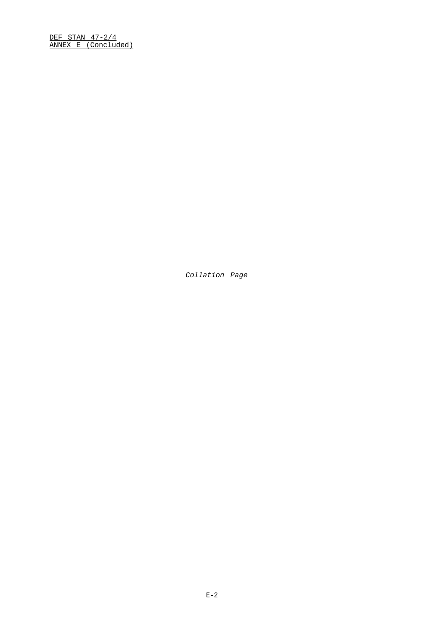DEF STAN 47-2/4 ANNEX E (Concluded)

Collation Page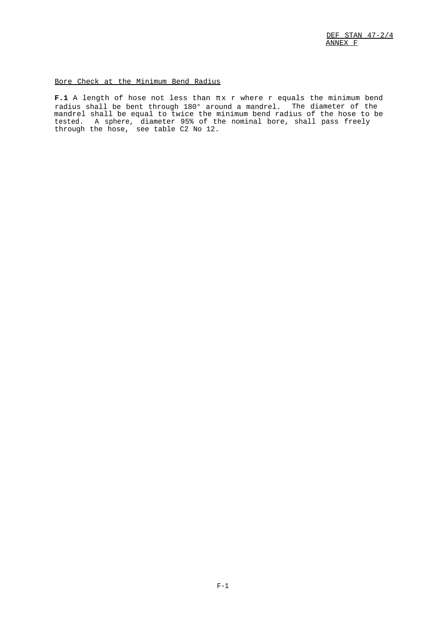## <span id="page-40-0"></span>Bore Check at the Minimum Bend Radius

**F.1** A length of hose not less than  $\pi \times r$  where r equals the minimum bend radius shall be bent through 180° around a mandrel. The diameter of the mandrel shall be equal to twice the minimum bend radius of the hose to be tested. A sphere, diameter 95% of the nominal bore, shall pass freely through the hose, see table C2 No 12.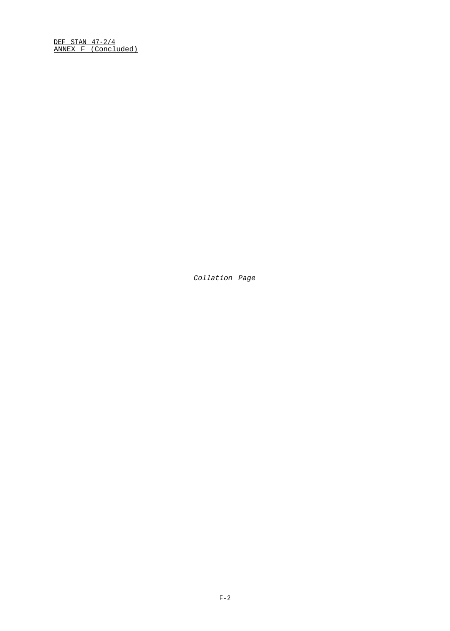DEF STAN 47-2/4 ANNEX F (Concluded)

Collation Page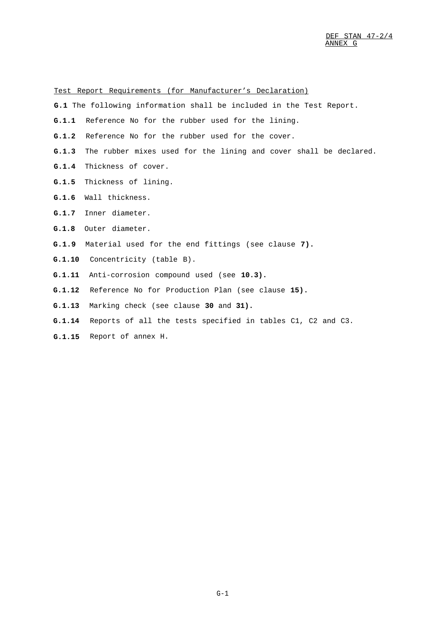<span id="page-42-0"></span>Test Report Requirements (for Manufacturer's Declaration)

- **G.1** The following information shall be included in the Test Report.
- **G.1.1** Reference No for the rubber used for the lining.
- **G.1.2** Reference No for the rubber used for the cover.
- **G.1.3** The rubber mixes used for the lining and cover shall be declared.
- **G.1.4** Thickness of cover.
- **G.1.5** Thickness of lining.
- **G.1.6** Wall thickness.
- **G.1.7** Inner diameter.
- **G.1.8** Outer diameter.
- **G.1.9** Material used for the end fittings (see clause **7).**
- **G.1.10** Concentricity (table B).
- **G.1.11** Anti-corrosion compound used (see **10.3).**
- **G.1.12** Reference No for Production Plan (see clause **15).**
- **G.1.13** Marking check (see clause **30** and **31).**
- **G.1.14** Reports of all the tests specified in tables C1, C2 and C3.
- **G.1.15** Report of annex H.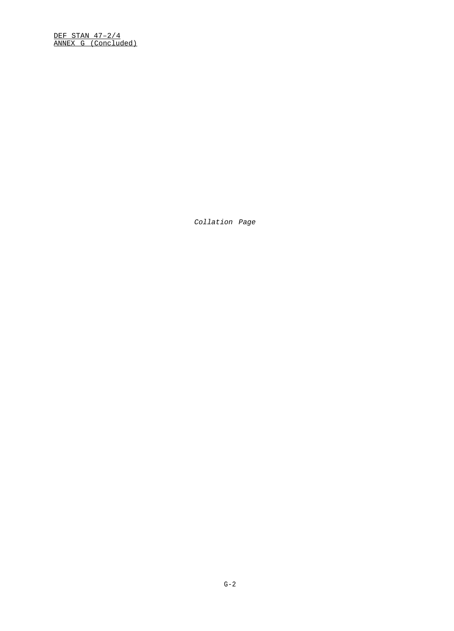DEF STAN 47–2/4 ANNEX G (Concluded)

Collation Page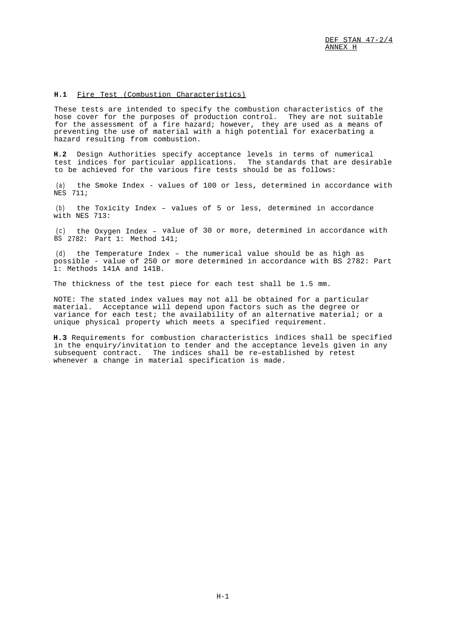## <span id="page-44-0"></span>**H.1** Fire Test (Combustion Characteristics)

These tests are intended to specify the combustion characteristics of the hose cover for the purposes of production control. They are not suitable for the assessment of a fire hazard; however, they are used as a means of preventing the use of material with a high potential for exacerbating a hazard resulting from combustion.

**H.2** Design Authorities specify acceptance levels in terms of numerical test indices for particular applications. The standards that are desirable to be achieved for the various fire tests should be as follows:

(a) the Smoke Index - values of 100 or less, determined in accordance with NES 711;

(b) the Toxicity Index – values of 5 or less, determined in accordance with NES 713:

(c) BS the Oxygen Index – value of 30 or more, determined in accordance with 2782: Part 1: Method 141;

(d) the Temperature Index – the numerical value should be as high as possible - value of 250 or more determined in accordance with BS 2782: Part 1: Methods 141A and 141B.

The thickness of the test piece for each test shall be 1.5 mm.

NOTE: The stated index values may not all be obtained for a particular material. Acceptance will depend upon factors such as the degree or variance for each test; the availability of an alternative material; or a unique physical property which meets a specified requirement.

**H.3** Requirements for combustion characteristics indices shall be specified in the enquiry/invitation to tender and the acceptance levels given in any subsequent contract. The indices shall be re–established by retest whenever a change in material specification is made.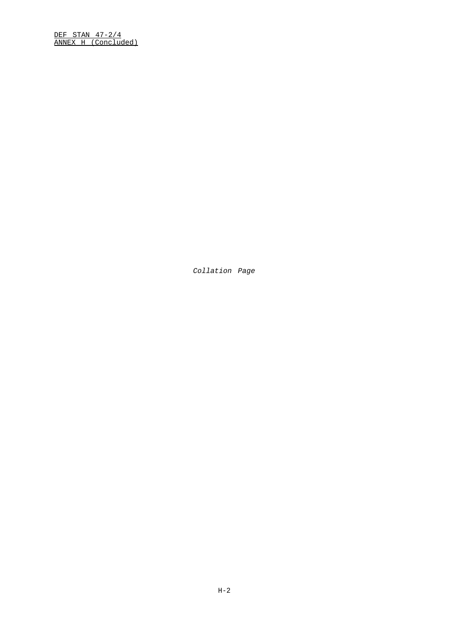DEF STAN 47-2/4 ANNEX H (Concluded)

Collation Page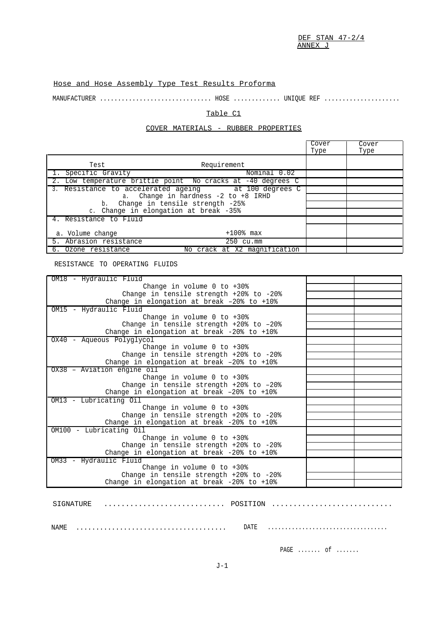DEF STAN 47-2/4 ANNEX J

## <span id="page-46-0"></span>Hose and Hose Assembly Type Test Results Proforma

MANUFACTURER ............................... HOSE ............. UNIQUE REF .....................

## Table C1

## COVER MATERIALS - RUBBER PROPERTIES

|                                                             | Cover<br>Type | Cover<br>Type |
|-------------------------------------------------------------|---------------|---------------|
| Requirement<br>Test                                         |               |               |
| 1. Specific Gravity<br>Nominal 0.02                         |               |               |
| 2. Low temperature brittle point No cracks at -40 degrees C |               |               |
| 3. Resistance to accelerated ageing at 100 degrees C        |               |               |
| Change in hardness $-2$ to $+8$ IRHD<br>a.                  |               |               |
| Change in tensile strength -25%<br>b.                       |               |               |
| c. Change in elongation at break -35%                       |               |               |
| 4. Resistance to Fluid                                      |               |               |
| $+100$ % max<br>a. Volume change                            |               |               |
| 5. Abrasion resistance<br>250 cu.mm                         |               |               |
| 6. Ozone resistance<br>No crack at X2 magnification         |               |               |

RESISTANCE TO OPERATING FLUIDS

| OM18 - Hydraulic Fluid                      |  |
|---------------------------------------------|--|
| Change in volume $0$ to $+30$ %             |  |
| Change in tensile strength $+20$ to $-20$ * |  |
| Change in elongation at break -20% to +10%  |  |
| OM15 - Hydraulic Fluid                      |  |
| Change in volume $0$ to $+30$ %             |  |
| Change in tensile strength $+20$ to $-20$ * |  |
| Change in elongation at break -20% to +10%  |  |
| OX40 - Aqueous Polyglycol                   |  |
| Change in volume $0$ to $+30$ %             |  |
| Change in tensile strength +20% to -20%     |  |
| Change in elongation at break -20% to +10%  |  |
| 0X38 - Aviation engine oil                  |  |
| Change in volume $0$ to $+30$ %             |  |
| Change in tensile strength $+20$ to $-20$ * |  |
| Change in elongation at break -20% to +10%  |  |
| OM13 - Lubricating Oil                      |  |
| Change in volume $0$ to $+30$ %             |  |
| Change in tensile strength $+20$ to $-20$ * |  |
| Change in elongation at break -20% to +10%  |  |
| OM100 - Lubricating Oil                     |  |
| Change in volume $0$ to $+30$ %             |  |
| Change in tensile strength $+20$ to $-20$ * |  |
| Change in elongation at break -20% to +10%  |  |
| OM33 - Hydraulic Fluid                      |  |
| Change in volume $0$ to $+30$ <sup>*</sup>  |  |
| Change in tensile strength $+20$ to $-20$ * |  |
| Change in elongation at break -20% to +10%  |  |

SIGNATURE ............................ POSITION ............................

NAME ...................................... DATE ...................................

PAGE ....... of .......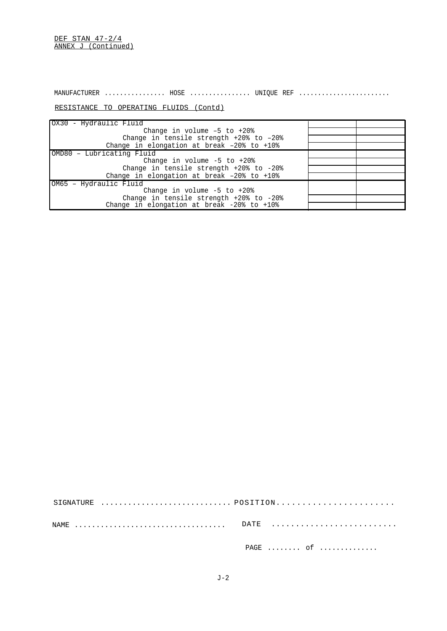DEF STAN 47-2/4 ANNEX J (Continued)

MANUFACTURER ................ HOSE ................ UNIQUE REF ........................

RESISTANCE TO OPERATING FLUIDS (Contd)

| OX30 - Hydraulic Fluid                                                                                               |  |
|----------------------------------------------------------------------------------------------------------------------|--|
| Change in volume $-5$ to $+20$ <sup>*</sup>                                                                          |  |
| Change in tensile strength $+20$ <sup>s</sup> to $-20$ <sup>s</sup>                                                  |  |
| Change in elongation at break $-20$ <sup><math>\frac{1}{6}</math></sup> to $+10$ <sup><math>\frac{1}{6}</math></sup> |  |
| OMD80 - Lubricating Fluid                                                                                            |  |
| Change in volume $-5$ to $+20$ %                                                                                     |  |
| Change in tensile strength $+20$ <sup>s</sup> to $-20$ <sup>s</sup>                                                  |  |
| Change in elongation at break -20% to +10%                                                                           |  |
| OM65 - Hydraulic Fluid                                                                                               |  |
| Change in volume $-5$ to $+20$ <sup>*</sup>                                                                          |  |
| Change in tensile strength $+20$ <sup>s</sup> to $-20$ <sup>s</sup>                                                  |  |
| Change in elongation at break $-20$ <sup>*</sup> to $+10$ <sup>*</sup>                                               |  |

| NAME   DATE |           |
|-------------|-----------|
|             | $PAGE$ of |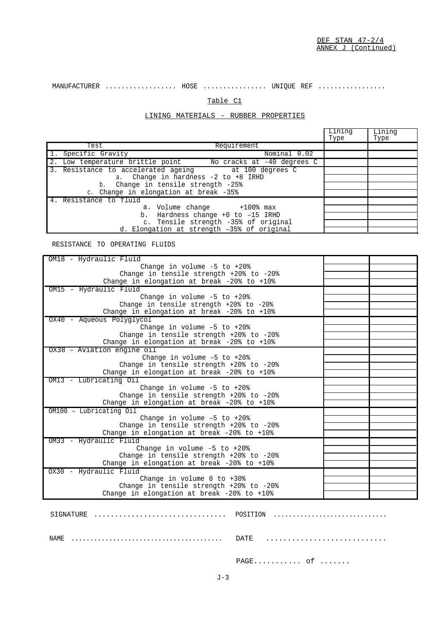MANUFACTURER .................. HOSE ................ UNIQUE REF .................

## Table C1

## LINING MATERIALS - RUBBER PROPERTIES

|                                                             | Lining<br>Type | Lining<br>Type |
|-------------------------------------------------------------|----------------|----------------|
| Requirement<br>Test                                         |                |                |
| Specific Gravity<br>Nominal 0.02                            |                |                |
| 2. Low temperature brittle point Mo cracks at -40 degrees C |                |                |
| 3. Resistance to accelerated ageing bat 100 degrees C       |                |                |
| a. Change in hardness -2 to +8 IRHD                         |                |                |
| b. Change in tensile strength -25%                          |                |                |
| c. Change in elongation at break -35%                       |                |                |
| 4. Resistance to fluid                                      |                |                |
| a. Volume change $+100$ <sup>s</sup> max                    |                |                |
| b. Hardness change +0 to -15 IRHD                           |                |                |
| c. Tensile strength -35% of original                        |                |                |
| d. Elongation at strength -35% of original                  |                |                |

RESISTANCE TO OPERATING FLUIDS

| OM18 - Hydraulic Fluid                                                                                            |  |
|-------------------------------------------------------------------------------------------------------------------|--|
| Change in volume $-5$ to $+20$ %                                                                                  |  |
| Change in tensile strength $+20$ to $-20$ *                                                                       |  |
| Change in elongation at break -20% to +10%                                                                        |  |
| OM15 - Hydraulic Fluid                                                                                            |  |
| Change in volume $-5$ to $+20$ °                                                                                  |  |
| Change in tensile strength +20% to -20%                                                                           |  |
| Change in elongation at break -20% to +10%                                                                        |  |
| OX40 - Aqueous Polyglycol                                                                                         |  |
| Change in volume $-5$ to $+20$ °                                                                                  |  |
| Change in tensile strength $+20$ to $-20$ *                                                                       |  |
| Change in elongation at break -20% to +10%                                                                        |  |
| 0X38 - Aviation engine oil                                                                                        |  |
| Change in volume $-5$ to $+20$ %                                                                                  |  |
| Change in tensile strength $+20$ to $-20$ *                                                                       |  |
| Change in elongation at break -20% to +10%                                                                        |  |
| OM13 - Lubricating Oil                                                                                            |  |
| Change in volume $-5$ to $+20$ %                                                                                  |  |
| Change in tensile strength +20% to -20%                                                                           |  |
| Change in elongation at break -20% to +10%                                                                        |  |
| OM100 - Lubricating Oil                                                                                           |  |
| Change in volume $-5$ to $+20$ °                                                                                  |  |
| Change in tensile strength $+20$ <sup>s</sup> to $-20$ <sup>s</sup><br>Change in elongation at break -20% to +10% |  |
| OM33 - Hydraullc Fluid                                                                                            |  |
| Change in volume $-5$ to $+20$ %                                                                                  |  |
| Change in tensile strength $+20$ to $-20$ *                                                                       |  |
| Change in elongation at break -20% to +10%                                                                        |  |
| OX30 - Hydraulic Fluid                                                                                            |  |
| Change in volume $0$ to $+30$ <sup>*</sup>                                                                        |  |
| Change in tensile strength +20% to -20%                                                                           |  |
| Change in elongation at break -20% to +10%                                                                        |  |
|                                                                                                                   |  |
|                                                                                                                   |  |
|                                                                                                                   |  |

SIGNATURE ................................ POSITION .............................. NAME ........................................ DATE ............................

PAGE........... of .......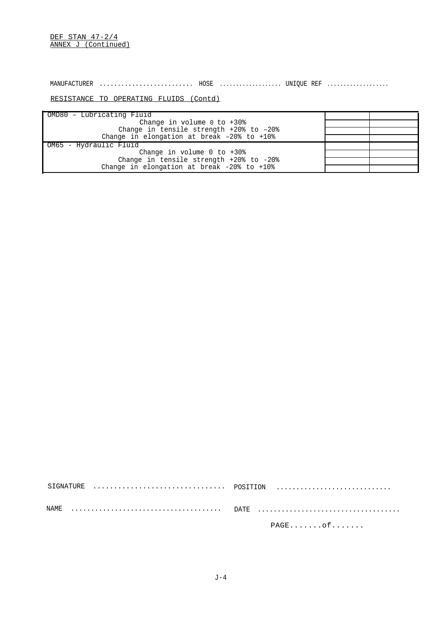DEF STAN 47-2/4 ANNEX J (Continued)

MANUFACTURER .......................... HOSE ................... UNIQUE REF ...................

## RESISTANCE TO OPERATING FLUIDS (Contd)

| OMD80 - Lubricating Fluid                                           |  |
|---------------------------------------------------------------------|--|
| Change in volume $0$ to $+30$ %                                     |  |
| Change in tensile strength $+20$ <sup>s</sup> to $-20$ <sup>s</sup> |  |
| Change in elongation at break -20% to +10%                          |  |
| OM65 - Hydraulic Fluid                                              |  |
| Change in volume $0$ to $+30$ °                                     |  |
| Change in tensile strength +20% to -20%                             |  |
| Change in elongation at break $-20$ to $+10$ <sup>2</sup>           |  |

| $PAGE \ldots \ldots \cdot Of \ldots \ldots$ |
|---------------------------------------------|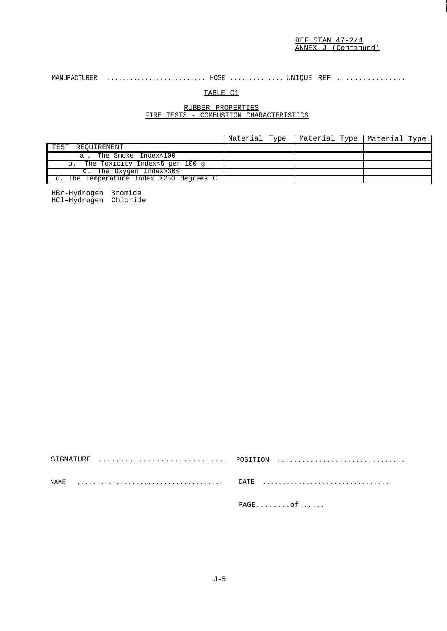## MANUFACTURER .......................... HOSE .............. UNIQUE REF ................

## TABLE C1

## RUBBER PROPERTIES FIRE TESTS - COMBUSTION CHARACTERISTICS

|                                         | Material Type   Material Type   Material Type |  |
|-----------------------------------------|-----------------------------------------------|--|
| TEST REOUIREMENT                        |                                               |  |
| a. The Smoke Index<100                  |                                               |  |
| b. The Toxicity Index<5 per 100 q       |                                               |  |
| c. The Oxygen Index>30%                 |                                               |  |
| d. The Temperature Index >250 degrees C |                                               |  |

HBr-Hydrogen Bromide HCl–Hydrogen Chloride

| $\texttt{PAGE} \dots \dots \texttt{of} \dots \dots$ |
|-----------------------------------------------------|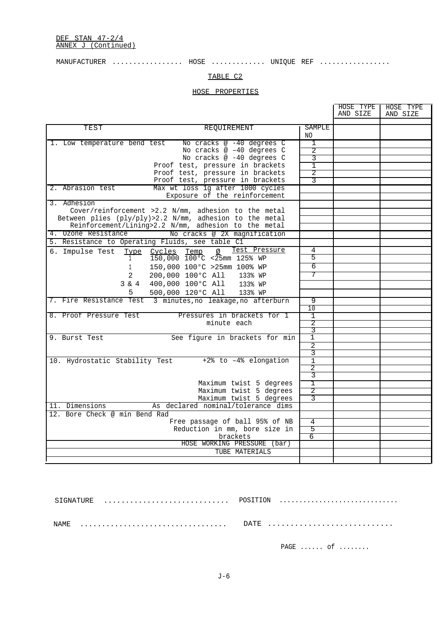## $\verb|MANUFACTURER | \dots. \dots. \dots. \dots. \text{HOSE} | \dots. \dots. \dots. \text{UNIQUE REF} | \dots. \dots. \dots. \dots.$

## TABLE C2

## HOSE PROPERTIES

|                                                 |                                                                   |                     | HOSE TYPE<br>AND SIZE | HOSE TYPE<br>AND SIZE |
|-------------------------------------------------|-------------------------------------------------------------------|---------------------|-----------------------|-----------------------|
| TEST                                            | REQUIREMENT                                                       | SAMPLE<br>NO.       |                       |                       |
| 1. Low temperature bend test                    | No cracks @ -40 degrees C                                         | 1                   |                       |                       |
|                                                 | No cracks @ -40 degrees C                                         | 2                   |                       |                       |
|                                                 | No cracks @ -40 degrees C                                         | 3                   |                       |                       |
|                                                 | Proof test, pressure in brackets                                  | 1                   |                       |                       |
|                                                 | Proof test, pressure in brackets                                  | 2                   |                       |                       |
|                                                 | Proof test, pressure in brackets                                  | 3                   |                       |                       |
| 2. Abrasion test                                | Max wt loss 1g after 1000 cycles<br>Exposure of the reinforcement |                     |                       |                       |
| 3. Adhesion                                     |                                                                   |                     |                       |                       |
|                                                 | Cover/reinforcement >2.2 N/mm, adhesion to the metal              |                     |                       |                       |
|                                                 | Between plies (ply/ply)>2.2 N/mm, adhesion to the metal           |                     |                       |                       |
|                                                 | Reinforcement/Lining>2.2 N/mm, adhesion to the metal              |                     |                       |                       |
| 4. Ozone Resistance                             | No cracks @ 2X magnification                                      |                     |                       |                       |
| 5. Resistance to Operating Fluids, see table C1 |                                                                   |                     |                       |                       |
| 6. Impulse Test                                 | Test Pressure<br>Temp<br>Type Cycles<br>Ø                         | 4                   |                       |                       |
| $\mathbf{1}$                                    | $150,000$ $100\degree$ C <25mm 125% WP                            | 5                   |                       |                       |
| 1                                               | 150,000 100°C >25mm 100% WP                                       | 6                   |                       |                       |
| 2                                               | 200,000 100°C All<br>133% WP                                      | 7                   |                       |                       |
| $3 \& 4$                                        | 400,000 100°C All<br>133% WP                                      |                     |                       |                       |
| 5                                               | 500,000 120°C All<br>133% WP                                      |                     |                       |                       |
|                                                 | 7. Fire Resistance Test 3 minutes, no leakage, no afterburn       | 9                   |                       |                       |
|                                                 |                                                                   | 10                  |                       |                       |
| 8. Proof Pressure Test                          | Pressures in brackets for 1                                       | 1                   |                       |                       |
|                                                 | minute each                                                       | $\overline{2}$      |                       |                       |
|                                                 |                                                                   | 3                   |                       |                       |
| 9. Burst Test                                   | See figure in brackets for min                                    | $\mathbf{1}$        |                       |                       |
|                                                 |                                                                   | $\overline{2}$<br>3 |                       |                       |
|                                                 | 10. Hydrostatic Stability Test +2% to -4% elongation              | $\mathbf{1}$        |                       |                       |
|                                                 |                                                                   | 2                   |                       |                       |
|                                                 |                                                                   | 3                   |                       |                       |
|                                                 | Maximum twist 5 degrees                                           | Т                   |                       |                       |
|                                                 | Maximum twist 5 degrees                                           | 2                   |                       |                       |
|                                                 | Maximum twist 5 degrees                                           | २                   |                       |                       |
| 11. Dimensions                                  | As declared nominal/tolerance dims                                |                     |                       |                       |
| 12. Bore Check @ min Bend Rad                   |                                                                   |                     |                       |                       |
|                                                 | Free passage of ball 95% of NB                                    | 4                   |                       |                       |
|                                                 | Reduction in mm, bore size in                                     | 5                   |                       |                       |
|                                                 | brackets                                                          | 6                   |                       |                       |
|                                                 | HOSE WORKING PRESSURE (bar)                                       |                     |                       |                       |
|                                                 | TUBE MATERIALS                                                    |                     |                       |                       |
|                                                 |                                                                   |                     |                       |                       |

| NAMF. |           |  |
|-------|-----------|--|
|       | $PAGE$ of |  |

J-6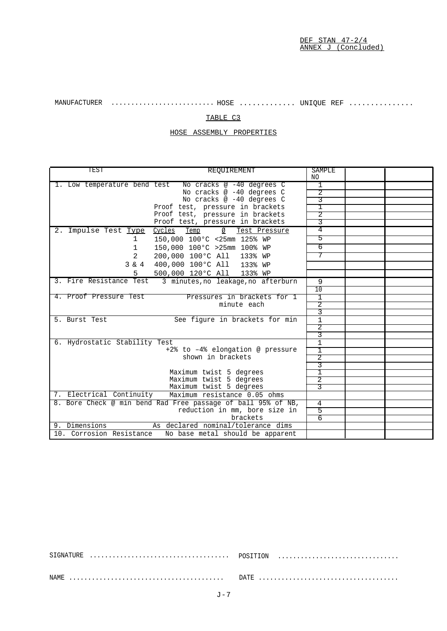MANUFACTURER .......................... HOSE ............. UNIQUE REF ...............

## TABLE C3

HOSE ASSEMBLY PROPERTIES

| TEST                                                                                          | REOUIREMENT                                                          | <b>SAMPLE</b><br>NO. |  |
|-----------------------------------------------------------------------------------------------|----------------------------------------------------------------------|----------------------|--|
| 1. Low temperature bend test                                                                  | No cracks @ -40 degrees C                                            | 1                    |  |
|                                                                                               | No cracks @ -40 degrees C                                            | $\overline{2}$       |  |
|                                                                                               | No cracks @ -40 degrees C                                            | 3                    |  |
|                                                                                               | Proof test, pressure in brackets                                     | 1<br>2               |  |
|                                                                                               | Proof test, pressure in brackets<br>Proof test, pressure in brackets | 3                    |  |
|                                                                                               |                                                                      | 4                    |  |
| 2. Impulse Test Type Cycles Temp                                                              | Ø<br>Test Pressure                                                   |                      |  |
| $\mathbf{1}$                                                                                  | 150,000 100°C <25mm 125% WP                                          | 5                    |  |
| $\mathbf{1}$                                                                                  | 150,000 100°C >25mm 100% WP                                          | 6                    |  |
| 2                                                                                             | 200,000 100°C All<br>133% WP                                         | 7                    |  |
| $3 \& 4$                                                                                      | 400,000 100°C All 133% WP                                            |                      |  |
| 5.                                                                                            | 500,000 120°C All 133% WP                                            |                      |  |
| 3. Fire Resistance Test                                                                       | 3 minutes, no leakage, no afterburn                                  | 9                    |  |
|                                                                                               |                                                                      | 10                   |  |
| 4. Proof Pressure Test                                                                        | Pressures in brackets for 1                                          | $\mathbf{1}$         |  |
|                                                                                               | minute each                                                          | 2                    |  |
|                                                                                               |                                                                      | 3                    |  |
| 5. Burst Test                                                                                 | See figure in brackets for min                                       | $\mathbf{1}$         |  |
|                                                                                               |                                                                      | $\overline{2}$       |  |
|                                                                                               |                                                                      | 3                    |  |
| 6. Hydrostatic Stability Test                                                                 |                                                                      | $\mathbf{1}$         |  |
|                                                                                               | +2% to -4% elongation @ pressure                                     | I                    |  |
| shown in brackets                                                                             |                                                                      | 2                    |  |
|                                                                                               |                                                                      | 3                    |  |
|                                                                                               | Maximum twist 5 degrees<br>Maximum twist 5 degrees                   | I<br>2               |  |
|                                                                                               | Maximum twist 5 degrees                                              | 3                    |  |
| 7. Electrical Continuity                                                                      | Maximum resistance 0.05 ohms                                         |                      |  |
|                                                                                               |                                                                      | 4                    |  |
| 8. Bore Check @ min bend Rad Free passage of ball 95% of NB,<br>reduction in mm, bore size in |                                                                      | 5                    |  |
|                                                                                               | brackets                                                             | 6                    |  |
| 9. Dimensions                                                                                 | As declared nominal/tolerance dims                                   |                      |  |
| 10. Corrosion Resistance                                                                      | No base metal should be apparent                                     |                      |  |
|                                                                                               |                                                                      |                      |  |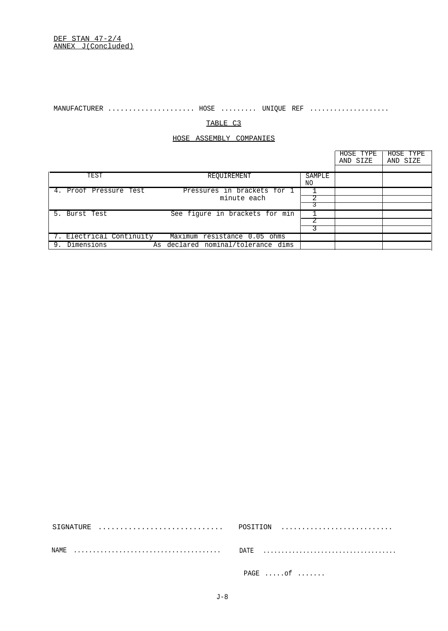$\verb|MANUFACTURER | \dots. \dots. \dots. \dots. \dots. \text{HOSE} | \dots. \dots. \text{UNIQUE} | \text{REF} | \dots. \dots. \dots. \dots. \dots.$ 

## TABLE C3

## HOSE ASSEMBLY COMPANIES

|    |                          |                                    |        | HOSE TYPE<br>AND SIZE | HOSE TYPE<br>AND SIZE |
|----|--------------------------|------------------------------------|--------|-----------------------|-----------------------|
|    |                          |                                    |        |                       |                       |
|    | TEST                     | REQUIREMENT                        | SAMPLE |                       |                       |
|    |                          |                                    | NO.    |                       |                       |
|    | 4. Proof Pressure Test   | Pressures in brackets for 1        |        |                       |                       |
|    |                          | minute each                        |        |                       |                       |
|    |                          |                                    |        |                       |                       |
|    | 5. Burst Test            | See figure in brackets for min     |        |                       |                       |
|    |                          |                                    |        |                       |                       |
|    |                          |                                    |        |                       |                       |
|    | 7. Electrical Continuity | Maximum resistance 0.05 ohms       |        |                       |                       |
| 9. | Dimensions               | As declared nominal/tolerance dims |        |                       |                       |

| NAMF. |           |
|-------|-----------|
|       | $PAGE$ of |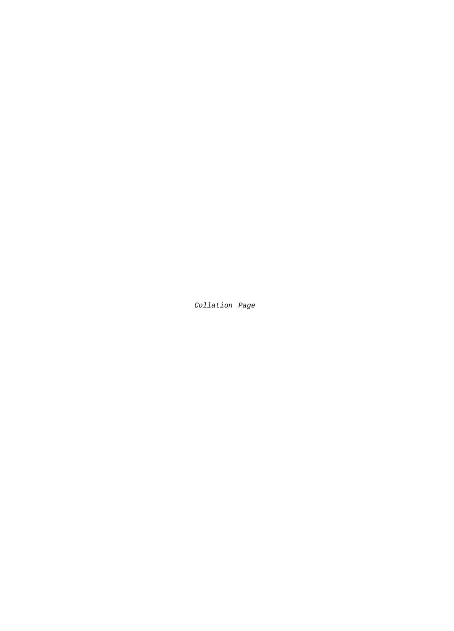Collation Page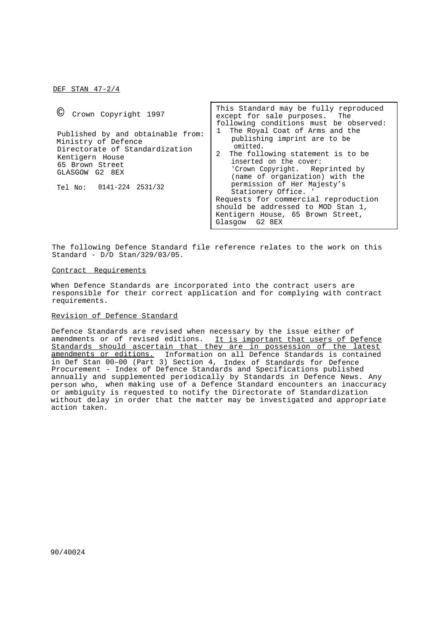DEF STAN 47-2/4

| $\left(\mathcal{C}\right)$<br>Crown Copyright 1997                                                                                                                             | This Standard may be fully reproduced<br>except for sale purposes. The<br>following conditions must be observed:                                                                                                                                                                                                                                                                                                |
|--------------------------------------------------------------------------------------------------------------------------------------------------------------------------------|-----------------------------------------------------------------------------------------------------------------------------------------------------------------------------------------------------------------------------------------------------------------------------------------------------------------------------------------------------------------------------------------------------------------|
| Published by and obtainable from:<br>Ministry of Defence<br>Directorate of Standardization<br>Kentigern House<br>65 Brown Street<br>GLASGOW G2 8EX<br>Tel No: 0141-224 2531/32 | The Royal Coat of Arms and the<br>publishing imprint are to be<br>omitted.<br>2<br>The following statement is to be<br>inserted on the cover:<br>'Crown Copyright. Reprinted by<br>(name of organization) with the<br>permission of Her Majesty's<br>Stationery Office.<br>Requests for commercial reproduction<br>should be addressed to MOD Stan 1,<br>Kentigern House, 65 Brown Street,<br>Glasqow<br>G2 8EX |

The following Defence Standard file reference relates to the work on this Standard - D/D Stan/329/03/05.

## Contract Requirements

When Defence Standards are incorporated into the contract users are responsible for their correct application and for complying with contract requirements.

## Revision of Defence Standard

Defence Standards are revised when necessary by the issue either of amendments or of revised editions. It is important that users of Defence Standards should ascertain that they are in possession of the latest amendments or editions. Information on all Defence Standards is contained in Def Stan 00–00 (Part 3) Section 4, Index of Standards for Defence Procurement - Index of Defence Standards and Specifications published annually and supplemented periodically by Standards in Defence News. Any person who, when making use of a Defence Standard encounters an inaccuracy or ambiguity is requested to notify the Directorate of Standardization without delay in order that the matter may be investigated and appropriate action taken.